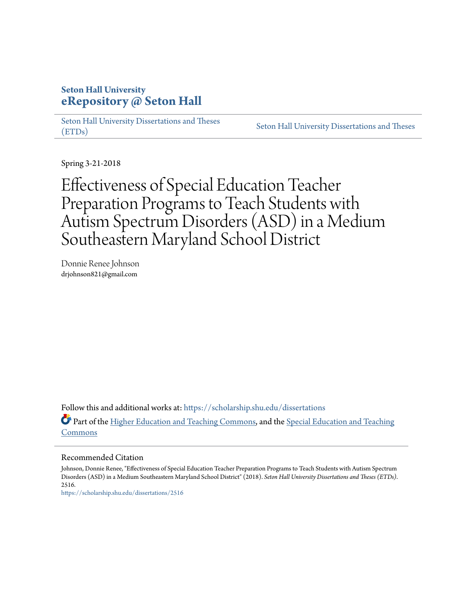## **Seton Hall University [eRepository @ Seton Hall](https://scholarship.shu.edu?utm_source=scholarship.shu.edu%2Fdissertations%2F2516&utm_medium=PDF&utm_campaign=PDFCoverPages)**

[Seton Hall University Dissertations and Theses](https://scholarship.shu.edu/dissertations?utm_source=scholarship.shu.edu%2Fdissertations%2F2516&utm_medium=PDF&utm_campaign=PDFCoverPages) [\(ETDs\)](https://scholarship.shu.edu/dissertations?utm_source=scholarship.shu.edu%2Fdissertations%2F2516&utm_medium=PDF&utm_campaign=PDFCoverPages)

[Seton Hall University Dissertations and Theses](https://scholarship.shu.edu/etds?utm_source=scholarship.shu.edu%2Fdissertations%2F2516&utm_medium=PDF&utm_campaign=PDFCoverPages)

Spring 3-21-2018

Effectiveness of Special Education Teacher Preparation Programs to Teach Students with Autism Spectrum Disorders (ASD) in a Medium Southeastern Maryland School District

Donnie Renee Johnson drjohnson821@gmail.com

Follow this and additional works at: [https://scholarship.shu.edu/dissertations](https://scholarship.shu.edu/dissertations?utm_source=scholarship.shu.edu%2Fdissertations%2F2516&utm_medium=PDF&utm_campaign=PDFCoverPages) Part of the [Higher Education and Teaching Commons](http://network.bepress.com/hgg/discipline/806?utm_source=scholarship.shu.edu%2Fdissertations%2F2516&utm_medium=PDF&utm_campaign=PDFCoverPages), and the [Special Education and Teaching](http://network.bepress.com/hgg/discipline/801?utm_source=scholarship.shu.edu%2Fdissertations%2F2516&utm_medium=PDF&utm_campaign=PDFCoverPages) [Commons](http://network.bepress.com/hgg/discipline/801?utm_source=scholarship.shu.edu%2Fdissertations%2F2516&utm_medium=PDF&utm_campaign=PDFCoverPages)

Recommended Citation

Johnson, Donnie Renee, "Effectiveness of Special Education Teacher Preparation Programs to Teach Students with Autism Spectrum Disorders (ASD) in a Medium Southeastern Maryland School District" (2018). *Seton Hall University Dissertations and Theses (ETDs)*. 2516.

[https://scholarship.shu.edu/dissertations/2516](https://scholarship.shu.edu/dissertations/2516?utm_source=scholarship.shu.edu%2Fdissertations%2F2516&utm_medium=PDF&utm_campaign=PDFCoverPages)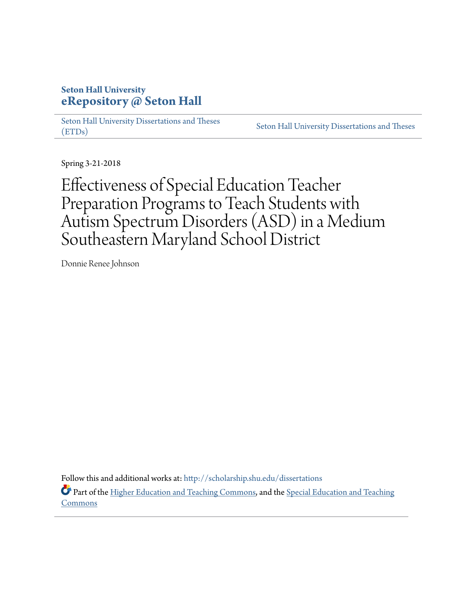# **Seton Hall University [eRepository @ Seton Hall](http://scholarship.shu.edu?utm_source=scholarship.shu.edu%2Fdissertations%2F1&utm_medium=PDF&utm_campaign=PDFCoverPages)**

[Seton Hall University Dissertations and Theses](http://scholarship.shu.edu/dissertations?utm_source=scholarship.shu.edu%2Fdissertations%2F1&utm_medium=PDF&utm_campaign=PDFCoverPages) [\(ETDs\)](http://scholarship.shu.edu/dissertations?utm_source=scholarship.shu.edu%2Fdissertations%2F1&utm_medium=PDF&utm_campaign=PDFCoverPages)

[Seton Hall University Dissertations and Theses](http://scholarship.shu.edu/etds?utm_source=scholarship.shu.edu%2Fdissertations%2F1&utm_medium=PDF&utm_campaign=PDFCoverPages)

Spring 3-21-2018

Effectiveness of Special Education Teacher Preparation Programs to Teach Students with Autism Spectrum Disorders (ASD) in a Medium Southeastern Maryland School District

Donnie Renee Johnson

Follow this and additional works at: [http://scholarship.shu.edu/dissertations](http://scholarship.shu.edu/dissertations?utm_source=scholarship.shu.edu%2Fdissertations%2F1&utm_medium=PDF&utm_campaign=PDFCoverPages)

Part of the [Higher Education and Teaching Commons](http://network.bepress.com/hgg/discipline/806?utm_source=scholarship.shu.edu%2Fdissertations%2F1&utm_medium=PDF&utm_campaign=PDFCoverPages), and the [Special Education and Teaching](http://network.bepress.com/hgg/discipline/801?utm_source=scholarship.shu.edu%2Fdissertations%2F1&utm_medium=PDF&utm_campaign=PDFCoverPages) **[Commons](http://network.bepress.com/hgg/discipline/801?utm_source=scholarship.shu.edu%2Fdissertations%2F1&utm_medium=PDF&utm_campaign=PDFCoverPages)**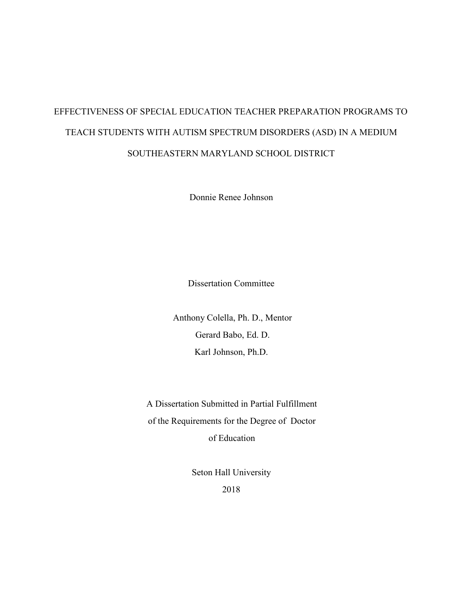# EFFECTIVENESS OF SPECIAL EDUCATION TEACHER PREPARATION PROGRAMS TO TEACH STUDENTS WITH AUTISM SPECTRUM DISORDERS (ASD) IN A MEDIUM SOUTHEASTERN MARYLAND SCHOOL DISTRICT

Donnie Renee Johnson

Dissertation Committee

Anthony Colella, Ph. D., Mentor Gerard Babo, Ed. D. Karl Johnson, Ph.D.

A Dissertation Submitted in Partial Fulfillment of the Requirements for the Degree of Doctor of Education

> Seton Hall University 2018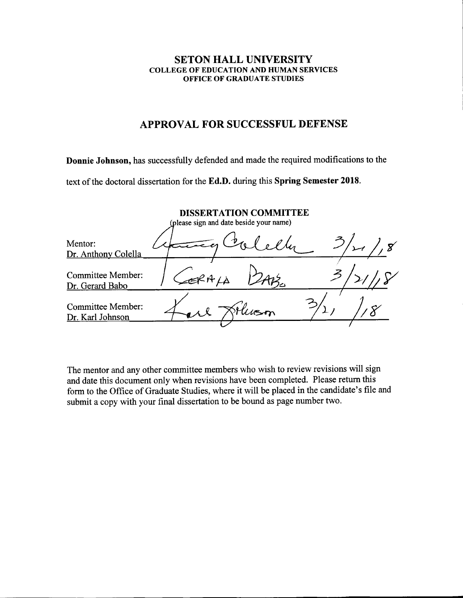#### SETON HALL UNIVERSITY COLLEGE OF EDUCATION AND HUMAN SERVICES OFFICE OF GRADUATE STUDIES

### APPROVAL FOR SUCCESSFUL DEFENSE

Donnie Johnson, has successfully defended and made the required modifications to the

text of the doctoral dissertation for the Ed.D. during this Spring Semester 2018.

|                                              | (please sign and date beside your name) | <b>DISSERTATION COMMITTEE</b> |  |
|----------------------------------------------|-----------------------------------------|-------------------------------|--|
| Mentor:<br>Dr. Anthony Colella               |                                         |                               |  |
| <b>Committee Member:</b><br>Dr. Gerard Babo  |                                         |                               |  |
| <b>Committee Member:</b><br>Dr. Karl Johnson |                                         |                               |  |

The mentor and any other committee members who wish to review revisions will sign and date this document only when revisions have been completed. Please return this form to the Office of Graduate Studies, where it will be placed in the candidate's file and submit a copy with your final dissertation to be bound as page number two.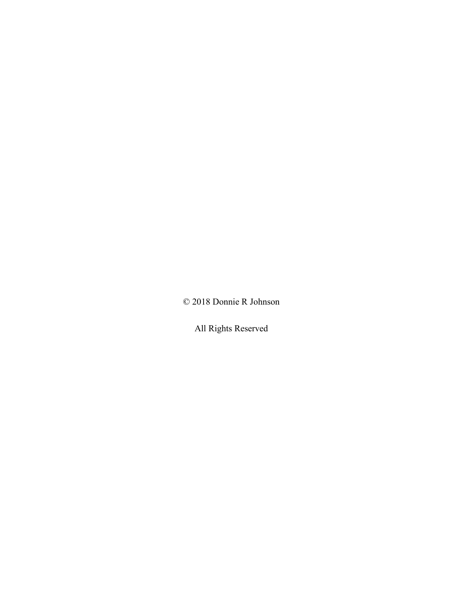© 2018 Donnie R Johnson

All Rights Reserved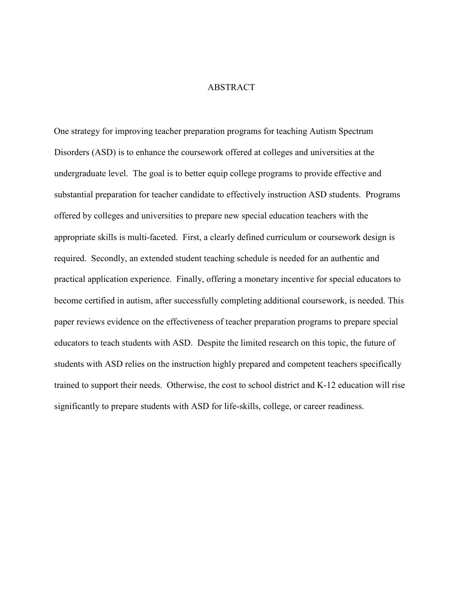#### ABSTRACT

One strategy for improving teacher preparation programs for teaching Autism Spectrum Disorders (ASD) is to enhance the coursework offered at colleges and universities at the undergraduate level. The goal is to better equip college programs to provide effective and substantial preparation for teacher candidate to effectively instruction ASD students. Programs offered by colleges and universities to prepare new special education teachers with the appropriate skills is multi-faceted. First, a clearly defined curriculum or coursework design is required. Secondly, an extended student teaching schedule is needed for an authentic and practical application experience. Finally, offering a monetary incentive for special educators to become certified in autism, after successfully completing additional coursework, is needed. This paper reviews evidence on the effectiveness of teacher preparation programs to prepare special educators to teach students with ASD. Despite the limited research on this topic, the future of students with ASD relies on the instruction highly prepared and competent teachers specifically trained to support their needs. Otherwise, the cost to school district and K-12 education will rise significantly to prepare students with ASD for life-skills, college, or career readiness.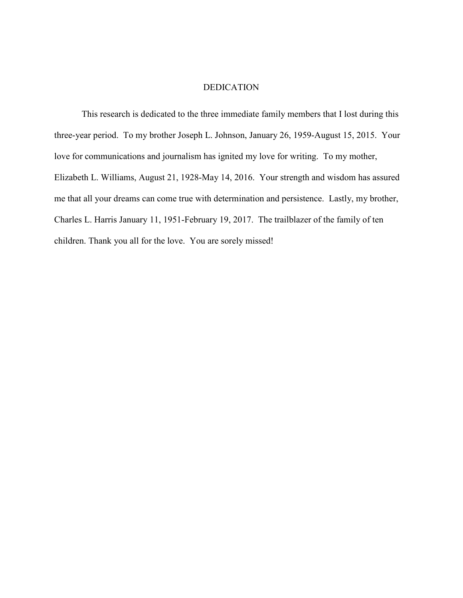#### DEDICATION

 This research is dedicated to the three immediate family members that I lost during this three-year period. To my brother Joseph L. Johnson, January 26, 1959-August 15, 2015. Your love for communications and journalism has ignited my love for writing. To my mother, Elizabeth L. Williams, August 21, 1928-May 14, 2016. Your strength and wisdom has assured me that all your dreams can come true with determination and persistence. Lastly, my brother, Charles L. Harris January 11, 1951-February 19, 2017. The trailblazer of the family of ten children. Thank you all for the love. You are sorely missed!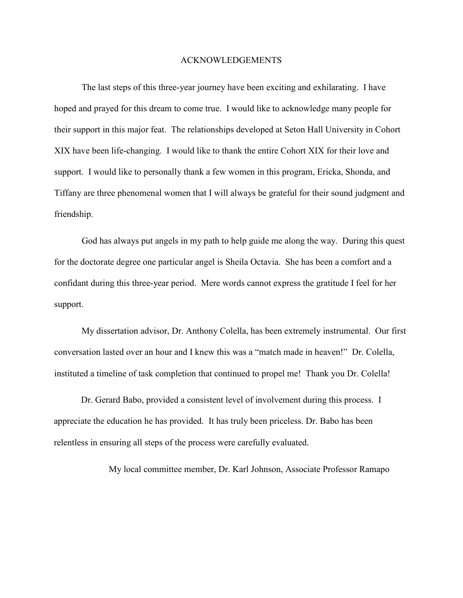#### ACKNOWLEDGEMENTS

 The last steps of this three-year journey have been exciting and exhilarating. I have hoped and prayed for this dream to come true. I would like to acknowledge many people for their support in this major feat. The relationships developed at Seton Hall University in Cohort XIX have been life-changing. I would like to thank the entire Cohort XIX for their love and support. I would like to personally thank a few women in this program, Ericka, Shonda, and Tiffany are three phenomenal women that I will always be grateful for their sound judgment and friendship.

 God has always put angels in my path to help guide me along the way. During this quest for the doctorate degree one particular angel is Sheila Octavia. She has been a comfort and a confidant during this three-year period. Mere words cannot express the gratitude I feel for her support.

 My dissertation advisor, Dr. Anthony Colella, has been extremely instrumental. Our first conversation lasted over an hour and I knew this was a "match made in heaven!" Dr. Colella, instituted a timeline of task completion that continued to propel me! Thank you Dr. Colella!

Dr. Gerard Babo, provided a consistent level of involvement during this process. I appreciate the education he has provided. It has truly been priceless. Dr. Babo has been relentless in ensuring all steps of the process were carefully evaluated.

My local committee member, Dr. Karl Johnson, Associate Professor Ramapo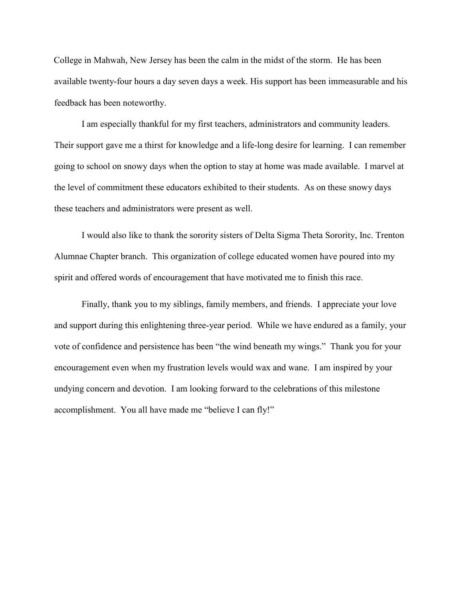College in Mahwah, New Jersey has been the calm in the midst of the storm. He has been available twenty-four hours a day seven days a week. His support has been immeasurable and his feedback has been noteworthy.

 I am especially thankful for my first teachers, administrators and community leaders. Their support gave me a thirst for knowledge and a life-long desire for learning. I can remember going to school on snowy days when the option to stay at home was made available. I marvel at the level of commitment these educators exhibited to their students. As on these snowy days these teachers and administrators were present as well.

 I would also like to thank the sorority sisters of Delta Sigma Theta Sorority, Inc. Trenton Alumnae Chapter branch. This organization of college educated women have poured into my spirit and offered words of encouragement that have motivated me to finish this race.

 Finally, thank you to my siblings, family members, and friends. I appreciate your love and support during this enlightening three-year period. While we have endured as a family, your vote of confidence and persistence has been "the wind beneath my wings." Thank you for your encouragement even when my frustration levels would wax and wane. I am inspired by your undying concern and devotion. I am looking forward to the celebrations of this milestone accomplishment. You all have made me "believe I can fly!"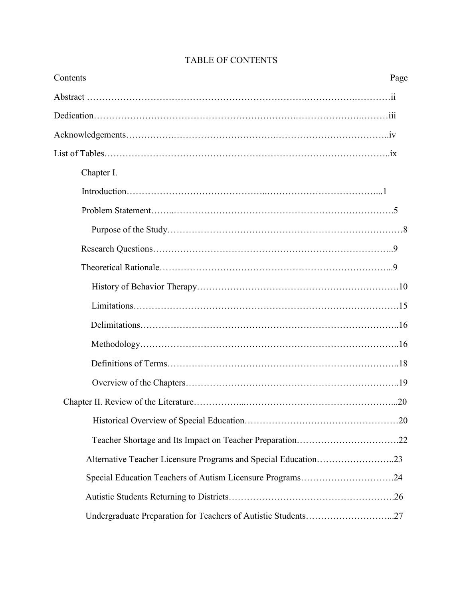| Contents                                                       | Page |
|----------------------------------------------------------------|------|
|                                                                |      |
|                                                                |      |
|                                                                |      |
|                                                                |      |
| Chapter I.                                                     |      |
|                                                                |      |
|                                                                |      |
|                                                                |      |
|                                                                |      |
|                                                                |      |
|                                                                |      |
|                                                                |      |
|                                                                |      |
|                                                                |      |
|                                                                |      |
|                                                                |      |
|                                                                |      |
|                                                                |      |
|                                                                |      |
| Alternative Teacher Licensure Programs and Special Education23 |      |
| Special Education Teachers of Autism Licensure Programs24      |      |
|                                                                |      |
| Undergraduate Preparation for Teachers of Autistic Students27  |      |

## TABLE OF CONTENTS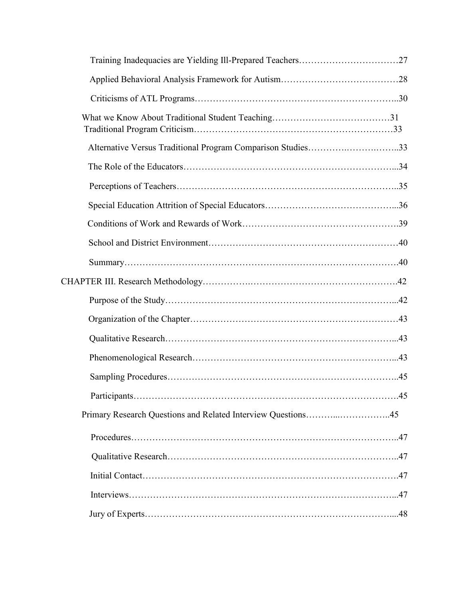| Alternative Versus Traditional Program Comparison Studies33  |  |
|--------------------------------------------------------------|--|
|                                                              |  |
|                                                              |  |
|                                                              |  |
|                                                              |  |
|                                                              |  |
|                                                              |  |
|                                                              |  |
|                                                              |  |
|                                                              |  |
|                                                              |  |
|                                                              |  |
|                                                              |  |
|                                                              |  |
| Primary Research Questions and Related Interview Questions45 |  |
|                                                              |  |
|                                                              |  |
|                                                              |  |
|                                                              |  |
|                                                              |  |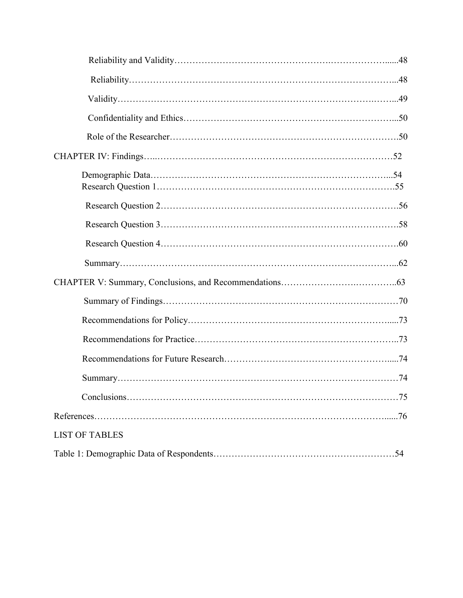| <b>LIST OF TABLES</b> |
|-----------------------|
|                       |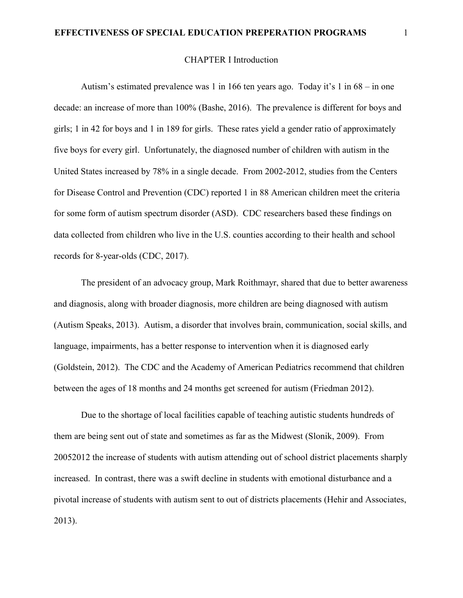#### **EFFECTIVENESS OF SPECIAL EDUCATION PREPERATION PROGRAMS** 1

#### CHAPTER I Introduction

Autism's estimated prevalence was 1 in 166 ten years ago. Today it's 1 in 68 – in one decade: an increase of more than 100% (Bashe, 2016). The prevalence is different for boys and girls; 1 in 42 for boys and 1 in 189 for girls. These rates yield a gender ratio of approximately five boys for every girl. Unfortunately, the diagnosed number of children with autism in the United States increased by 78% in a single decade. From 2002-2012, studies from the Centers for Disease Control and Prevention (CDC) reported 1 in 88 American children meet the criteria for some form of autism spectrum disorder (ASD). CDC researchers based these findings on data collected from children who live in the U.S. counties according to their health and school records for 8-year-olds (CDC, 2017).

The president of an advocacy group, Mark Roithmayr, shared that due to better awareness and diagnosis, along with broader diagnosis, more children are being diagnosed with autism (Autism Speaks, 2013). Autism, a disorder that involves brain, communication, social skills, and language, impairments, has a better response to intervention when it is diagnosed early (Goldstein, 2012). The CDC and the Academy of American Pediatrics recommend that children between the ages of 18 months and 24 months get screened for autism (Friedman 2012).

Due to the shortage of local facilities capable of teaching autistic students hundreds of them are being sent out of state and sometimes as far as the Midwest (Slonik, 2009). From 20052012 the increase of students with autism attending out of school district placements sharply increased. In contrast, there was a swift decline in students with emotional disturbance and a pivotal increase of students with autism sent to out of districts placements (Hehir and Associates, 2013).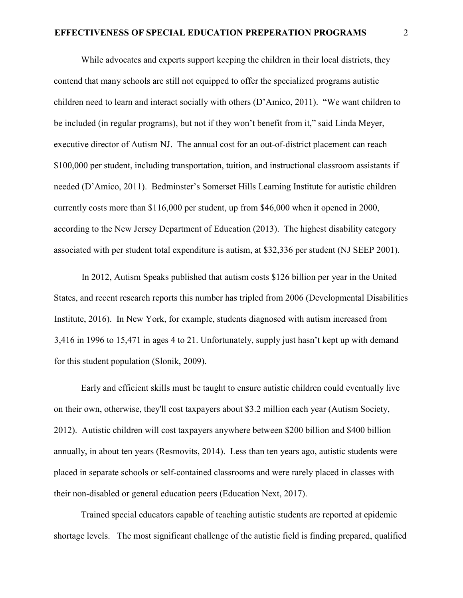While advocates and experts support keeping the children in their local districts, they contend that many schools are still not equipped to offer the specialized programs autistic children need to learn and interact socially with others (D'Amico, 2011). "We want children to be included (in regular programs), but not if they won't benefit from it," said Linda Meyer, executive director of Autism NJ. The annual cost for an out-of-district placement can reach \$100,000 per student, including transportation, tuition, and instructional classroom assistants if needed (D'Amico, 2011). Bedminster's Somerset Hills Learning Institute for autistic children currently costs more than \$116,000 per student, up from \$46,000 when it opened in 2000, according to the New Jersey Department of Education (2013). The highest disability category associated with per student total expenditure is autism, at \$32,336 per student (NJ SEEP 2001).

In 2012, Autism Speaks published that autism costs \$126 billion per year in the United States, and recent research reports this number has tripled from 2006 (Developmental Disabilities Institute, 2016). In New York, for example, students diagnosed with autism increased from 3,416 in 1996 to 15,471 in ages 4 to 21. Unfortunately, supply just hasn't kept up with demand for this student population (Slonik, 2009).

Early and efficient skills must be taught to ensure autistic children could eventually live on their own, otherwise, they'll cost taxpayers about \$3.2 million each year (Autism Society, 2012). Autistic children will cost taxpayers anywhere between \$200 billion and \$400 billion annually, in about ten years (Resmovits, 2014). Less than ten years ago, autistic students were placed in separate schools or self-contained classrooms and were rarely placed in classes with their non-disabled or general education peers (Education Next, 2017).

Trained special educators capable of teaching autistic students are reported at epidemic shortage levels. The most significant challenge of the autistic field is finding prepared, qualified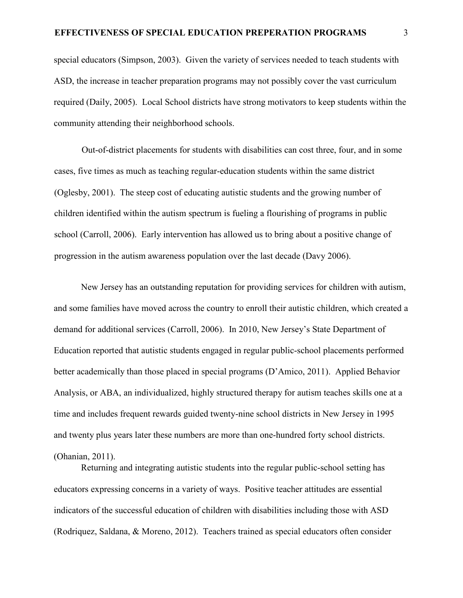special educators (Simpson, 2003). Given the variety of services needed to teach students with ASD, the increase in teacher preparation programs may not possibly cover the vast curriculum required (Daily, 2005). Local School districts have strong motivators to keep students within the community attending their neighborhood schools.

 Out-of-district placements for students with disabilities can cost three, four, and in some cases, five times as much as teaching regular-education students within the same district (Oglesby, 2001). The steep cost of educating autistic students and the growing number of children identified within the autism spectrum is fueling a flourishing of programs in public school (Carroll, 2006). Early intervention has allowed us to bring about a positive change of progression in the autism awareness population over the last decade (Davy 2006).

New Jersey has an outstanding reputation for providing services for children with autism, and some families have moved across the country to enroll their autistic children, which created a demand for additional services (Carroll, 2006). In 2010, New Jersey's State Department of Education reported that autistic students engaged in regular public-school placements performed better academically than those placed in special programs (D'Amico, 2011). Applied Behavior Analysis, or ABA, an individualized, highly structured therapy for autism teaches skills one at a time and includes frequent rewards guided twenty-nine school districts in New Jersey in 1995 and twenty plus years later these numbers are more than one-hundred forty school districts. (Ohanian, 2011).

Returning and integrating autistic students into the regular public-school setting has educators expressing concerns in a variety of ways. Positive teacher attitudes are essential indicators of the successful education of children with disabilities including those with ASD (Rodriquez, Saldana, & Moreno, 2012). Teachers trained as special educators often consider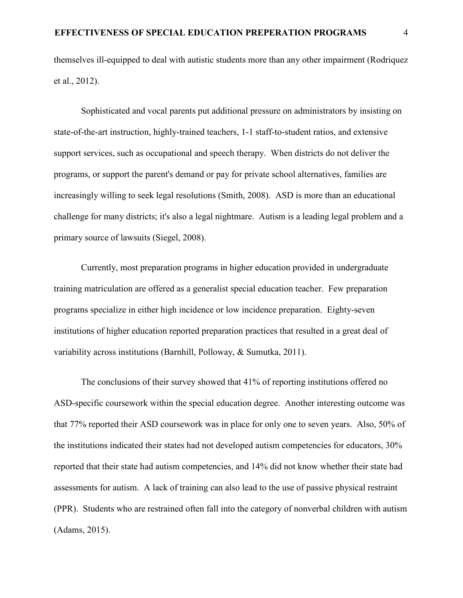themselves ill-equipped to deal with autistic students more than any other impairment (Rodriquez et al., 2012).

Sophisticated and vocal parents put additional pressure on administrators by insisting on state-of-the-art instruction, highly-trained teachers, 1-1 staff-to-student ratios, and extensive support services, such as occupational and speech therapy. When districts do not deliver the programs, or support the parent's demand or pay for private school alternatives, families are increasingly willing to seek legal resolutions (Smith, 2008). ASD is more than an educational challenge for many districts; it's also a legal nightmare. Autism is a leading legal problem and a primary source of lawsuits (Siegel, 2008).

Currently, most preparation programs in higher education provided in undergraduate training matriculation are offered as a generalist special education teacher. Few preparation programs specialize in either high incidence or low incidence preparation. Eighty-seven institutions of higher education reported preparation practices that resulted in a great deal of variability across institutions (Barnhill, Polloway, & Sumutka, 2011).

The conclusions of their survey showed that 41% of reporting institutions offered no ASD-specific coursework within the special education degree. Another interesting outcome was that 77% reported their ASD coursework was in place for only one to seven years. Also, 50% of the institutions indicated their states had not developed autism competencies for educators, 30% reported that their state had autism competencies, and 14% did not know whether their state had assessments for autism. A lack of training can also lead to the use of passive physical restraint (PPR). Students who are restrained often fall into the category of nonverbal children with autism (Adams, 2015).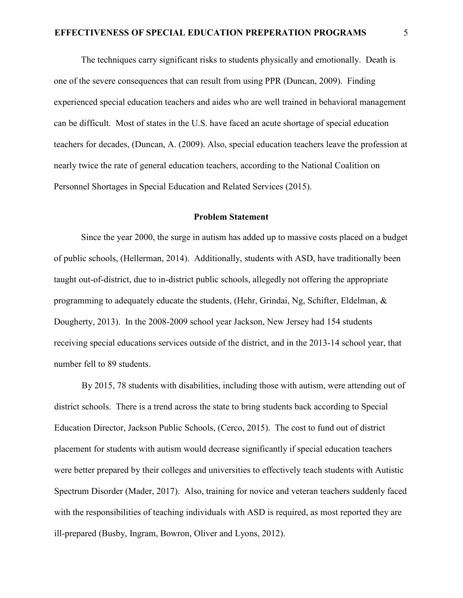The techniques carry significant risks to students physically and emotionally. Death is one of the severe consequences that can result from using PPR (Duncan, 2009). Finding experienced special education teachers and aides who are well trained in behavioral management can be difficult. Most of states in the U.S. have faced an acute shortage of special education teachers for decades, (Duncan, A. (2009). Also, special education teachers leave the profession at nearly twice the rate of general education teachers, according to the National Coalition on Personnel Shortages in Special Education and Related Services (2015).

#### **Problem Statement**

Since the year 2000, the surge in autism has added up to massive costs placed on a budget of public schools, (Hellerman, 2014). Additionally, students with ASD, have traditionally been taught out-of-district, due to in-district public schools, allegedly not offering the appropriate programming to adequately educate the students, (Hehr, Grindai, Ng, Schifter, Eldelman, & Dougherty, 2013). In the 2008-2009 school year Jackson, New Jersey had 154 students receiving special educations services outside of the district, and in the 2013-14 school year, that number fell to 89 students.

 By 2015, 78 students with disabilities, including those with autism, were attending out of district schools. There is a trend across the state to bring students back according to Special Education Director, Jackson Public Schools, (Cerco, 2015). The cost to fund out of district placement for students with autism would decrease significantly if special education teachers were better prepared by their colleges and universities to effectively teach students with Autistic Spectrum Disorder (Mader, 2017). Also, training for novice and veteran teachers suddenly faced with the responsibilities of teaching individuals with ASD is required, as most reported they are ill-prepared (Busby, Ingram, Bowron, Oliver and Lyons, 2012).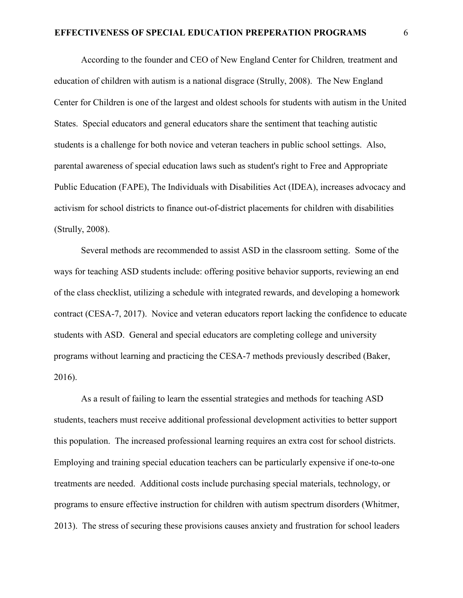According to the founder and CEO of New England Center for Children*,* treatment and education of children with autism is a national disgrace (Strully, 2008). The New England Center for Children is one of the largest and oldest schools for students with autism in the United States. Special educators and general educators share the sentiment that teaching autistic students is a challenge for both novice and veteran teachers in public school settings. Also, parental awareness of special education laws such as student's right to Free and Appropriate Public Education (FAPE), The Individuals with Disabilities Act (IDEA), increases advocacy and activism for school districts to finance out-of-district placements for children with disabilities (Strully, 2008).

Several methods are recommended to assist ASD in the classroom setting. Some of the ways for teaching ASD students include: offering positive behavior supports, reviewing an end of the class checklist, utilizing a schedule with integrated rewards, and developing a homework contract (CESA-7, 2017). Novice and veteran educators report lacking the confidence to educate students with ASD. General and special educators are completing college and university programs without learning and practicing the CESA-7 methods previously described (Baker, 2016).

As a result of failing to learn the essential strategies and methods for teaching ASD students, teachers must receive additional professional development activities to better support this population. The increased professional learning requires an extra cost for school districts. Employing and training special education teachers can be particularly expensive if one-to-one treatments are needed. Additional costs include purchasing special materials, technology, or programs to ensure effective instruction for children with autism spectrum disorders (Whitmer, 2013). The stress of securing these provisions causes anxiety and frustration for school leaders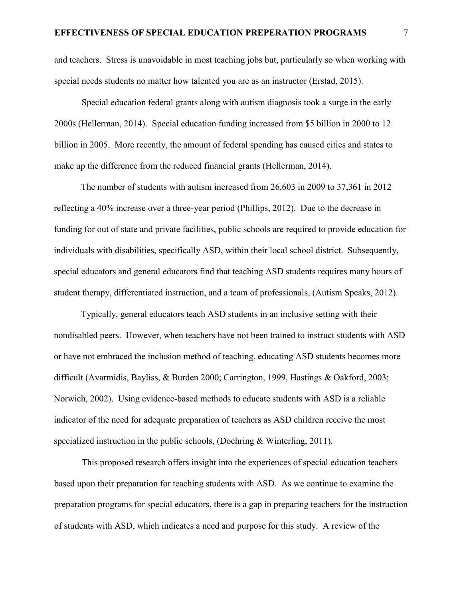and teachers. Stress is unavoidable in most teaching jobs but, particularly so when working with special needs students no matter how talented you are as an instructor (Erstad, 2015).

 Special education federal grants along with autism diagnosis took a surge in the early 2000s (Hellerman, 2014). Special education funding increased from \$5 billion in 2000 to 12 billion in 2005. More recently, the amount of federal spending has caused cities and states to make up the difference from the reduced financial grants (Hellerman, 2014).

The number of students with autism increased from 26,603 in 2009 to 37,361 in 2012 reflecting a 40% increase over a three-year period (Phillips, 2012). Due to the decrease in funding for out of state and private facilities, public schools are required to provide education for individuals with disabilities, specifically ASD, within their local school district. Subsequently, special educators and general educators find that teaching ASD students requires many hours of student therapy, differentiated instruction, and a team of professionals, (Autism Speaks, 2012).

Typically, general educators teach ASD students in an inclusive setting with their nondisabled peers. However, when teachers have not been trained to instruct students with ASD or have not embraced the inclusion method of teaching, educating ASD students becomes more difficult (Avarmidis, Bayliss, & Burden 2000; Carrington, 1999, Hastings & Oakford, 2003; Norwich, 2002). Using evidence-based methods to educate students with ASD is a reliable indicator of the need for adequate preparation of teachers as ASD children receive the most specialized instruction in the public schools, (Doehring & Winterling, 2011).

 This proposed research offers insight into the experiences of special education teachers based upon their preparation for teaching students with ASD. As we continue to examine the preparation programs for special educators, there is a gap in preparing teachers for the instruction of students with ASD, which indicates a need and purpose for this study. A review of the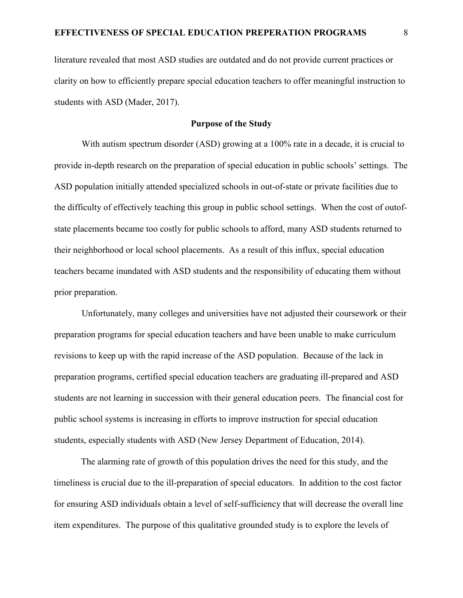literature revealed that most ASD studies are outdated and do not provide current practices or clarity on how to efficiently prepare special education teachers to offer meaningful instruction to students with ASD (Mader, 2017).

#### **Purpose of the Study**

 With autism spectrum disorder (ASD) growing at a 100% rate in a decade, it is crucial to provide in-depth research on the preparation of special education in public schools' settings. The ASD population initially attended specialized schools in out-of-state or private facilities due to the difficulty of effectively teaching this group in public school settings. When the cost of outofstate placements became too costly for public schools to afford, many ASD students returned to their neighborhood or local school placements. As a result of this influx, special education teachers became inundated with ASD students and the responsibility of educating them without prior preparation.

 Unfortunately, many colleges and universities have not adjusted their coursework or their preparation programs for special education teachers and have been unable to make curriculum revisions to keep up with the rapid increase of the ASD population. Because of the lack in preparation programs, certified special education teachers are graduating ill-prepared and ASD students are not learning in succession with their general education peers. The financial cost for public school systems is increasing in efforts to improve instruction for special education students, especially students with ASD (New Jersey Department of Education, 2014).

The alarming rate of growth of this population drives the need for this study, and the timeliness is crucial due to the ill-preparation of special educators. In addition to the cost factor for ensuring ASD individuals obtain a level of self-sufficiency that will decrease the overall line item expenditures. The purpose of this qualitative grounded study is to explore the levels of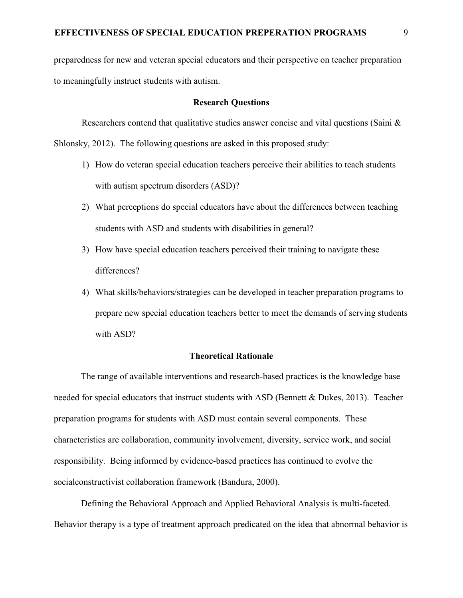preparedness for new and veteran special educators and their perspective on teacher preparation to meaningfully instruct students with autism.

#### **Research Questions**

Researchers contend that qualitative studies answer concise and vital questions (Saini  $\&$ Shlonsky, 2012). The following questions are asked in this proposed study:

- 1) How do veteran special education teachers perceive their abilities to teach students with autism spectrum disorders (ASD)?
- 2) What perceptions do special educators have about the differences between teaching students with ASD and students with disabilities in general?
- 3) How have special education teachers perceived their training to navigate these differences?
- 4) What skills/behaviors/strategies can be developed in teacher preparation programs to prepare new special education teachers better to meet the demands of serving students with ASD?

#### **Theoretical Rationale**

The range of available interventions and research-based practices is the knowledge base needed for special educators that instruct students with ASD (Bennett & Dukes, 2013). Teacher preparation programs for students with ASD must contain several components. These characteristics are collaboration, community involvement, diversity, service work, and social responsibility. Being informed by evidence-based practices has continued to evolve the socialconstructivist collaboration framework (Bandura, 2000).

Defining the Behavioral Approach and Applied Behavioral Analysis is multi-faceted. Behavior therapy is a type of treatment approach predicated on the idea that abnormal behavior is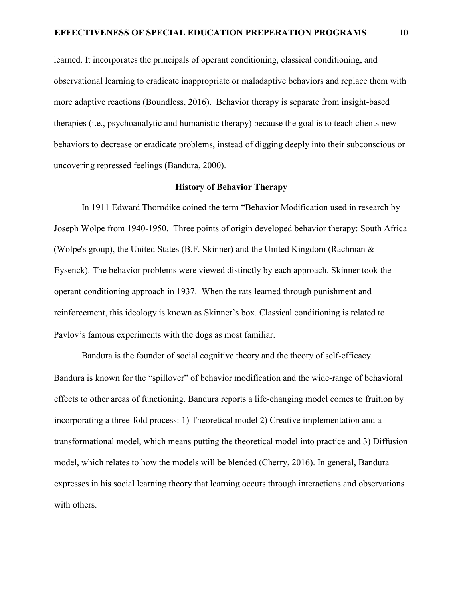learned. It incorporates the principals of operant conditioning, classical conditioning, and observational learning to eradicate inappropriate or maladaptive behaviors and replace them with more adaptive reactions (Boundless, 2016). Behavior therapy is separate from insight-based therapies (i.e., psychoanalytic and humanistic therapy) because the goal is to teach clients new behaviors to decrease or eradicate problems, instead of digging deeply into their subconscious or uncovering repressed feelings (Bandura, 2000).

#### **History of Behavior Therapy**

In 1911 Edward Thorndike coined the term "Behavior Modification used in research by Joseph Wolpe from 1940-1950. Three points of origin developed behavior therapy: South Africa (Wolpe's group), the United States (B.F. Skinner) and the United Kingdom (Rachman & Eysenck). The behavior problems were viewed distinctly by each approach. Skinner took the operant conditioning approach in 1937. When the rats learned through punishment and reinforcement, this ideology is known as Skinner's box. Classical conditioning is related to Pavlov's famous experiments with the dogs as most familiar.

Bandura is the founder of social cognitive theory and the theory of self-efficacy. Bandura is known for the "spillover" of behavior modification and the wide-range of behavioral effects to other areas of functioning. Bandura reports a life-changing model comes to fruition by incorporating a three-fold process: 1) Theoretical model 2) Creative implementation and a transformational model, which means putting the theoretical model into practice and 3) Diffusion model, which relates to how the models will be blended (Cherry, 2016). In general, Bandura expresses in his social learning theory that learning occurs through interactions and observations with others.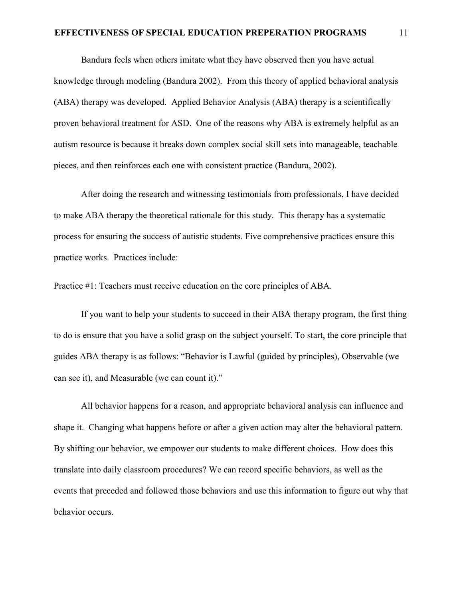#### **EFFECTIVENESS OF SPECIAL EDUCATION PREPERATION PROGRAMS** 11

Bandura feels when others imitate what they have observed then you have actual knowledge through modeling (Bandura 2002). From this theory of applied behavioral analysis (ABA) therapy was developed. Applied Behavior Analysis (ABA) therapy is a scientifically proven behavioral treatment for ASD. One of the reasons why ABA is extremely helpful as an autism resource is because it breaks down complex social skill sets into manageable, teachable pieces, and then reinforces each one with consistent practice (Bandura, 2002).

After doing the research and witnessing testimonials from professionals, I have decided to make ABA therapy the theoretical rationale for this study. This therapy has a systematic process for ensuring the success of autistic students. Five comprehensive practices ensure this practice works. Practices include:

Practice #1: Teachers must receive education on the core principles of ABA.

If you want to help your students to succeed in their ABA therapy program, the first thing to do is ensure that you have a solid grasp on the subject yourself. To start, the core principle that guides ABA therapy is as follows: "Behavior is Lawful (guided by principles), Observable (we can see it), and Measurable (we can count it)."

All behavior happens for a reason, and appropriate behavioral analysis can influence and shape it. Changing what happens before or after a given action may alter the behavioral pattern. By shifting our behavior, we empower our students to make different choices. How does this translate into daily classroom procedures? We can record specific behaviors, as well as the events that preceded and followed those behaviors and use this information to figure out why that behavior occurs.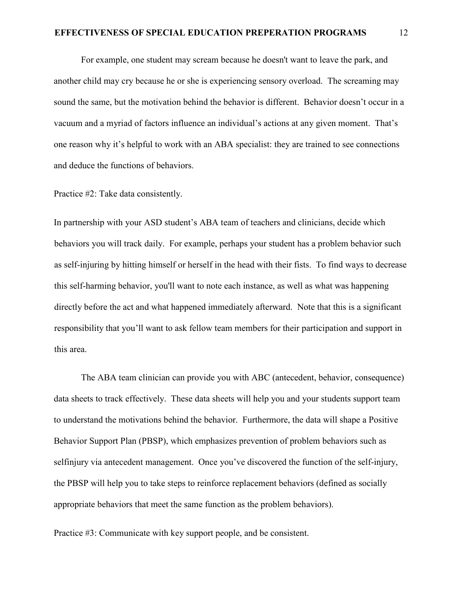For example, one student may scream because he doesn't want to leave the park, and another child may cry because he or she is experiencing sensory overload. The screaming may sound the same, but the motivation behind the behavior is different. Behavior doesn't occur in a vacuum and a myriad of factors influence an individual's actions at any given moment. That's one reason why it's helpful to work with an ABA specialist: they are trained to see connections and deduce the functions of behaviors.

Practice #2: Take data consistently.

In partnership with your ASD student's ABA team of teachers and clinicians, decide which behaviors you will track daily. For example, perhaps your student has a problem behavior such as self-injuring by hitting himself or herself in the head with their fists. To find ways to decrease this self-harming behavior, you'll want to note each instance, as well as what was happening directly before the act and what happened immediately afterward. Note that this is a significant responsibility that you'll want to ask fellow team members for their participation and support in this area.

The ABA team clinician can provide you with ABC (antecedent, behavior, consequence) data sheets to track effectively. These data sheets will help you and your students support team to understand the motivations behind the behavior. Furthermore, the data will shape a Positive Behavior Support Plan (PBSP), which emphasizes prevention of problem behaviors such as selfinjury via antecedent management. Once you've discovered the function of the self-injury, the PBSP will help you to take steps to reinforce replacement behaviors (defined as socially appropriate behaviors that meet the same function as the problem behaviors).

Practice #3: Communicate with key support people, and be consistent.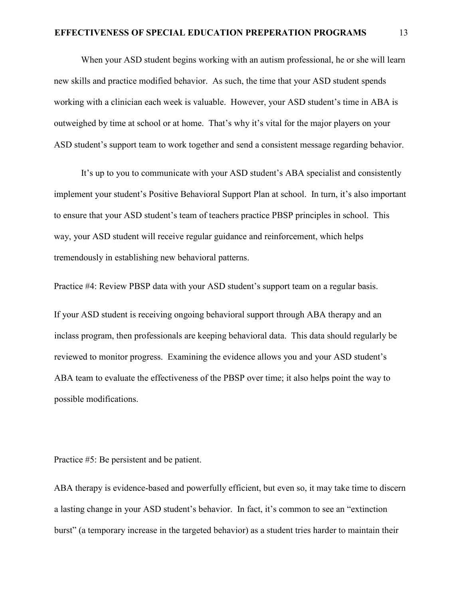#### **EFFECTIVENESS OF SPECIAL EDUCATION PREPERATION PROGRAMS** 13

When your ASD student begins working with an autism professional, he or she will learn new skills and practice modified behavior. As such, the time that your ASD student spends working with a clinician each week is valuable. However, your ASD student's time in ABA is outweighed by time at school or at home. That's why it's vital for the major players on your ASD student's support team to work together and send a consistent message regarding behavior.

It's up to you to communicate with your ASD student's ABA specialist and consistently implement your student's Positive Behavioral Support Plan at school. In turn, it's also important to ensure that your ASD student's team of teachers practice PBSP principles in school. This way, your ASD student will receive regular guidance and reinforcement, which helps tremendously in establishing new behavioral patterns.

Practice #4: Review PBSP data with your ASD student's support team on a regular basis.

If your ASD student is receiving ongoing behavioral support through ABA therapy and an inclass program, then professionals are keeping behavioral data. This data should regularly be reviewed to monitor progress. Examining the evidence allows you and your ASD student's ABA team to evaluate the effectiveness of the PBSP over time; it also helps point the way to possible modifications.

#### Practice #5: Be persistent and be patient.

ABA therapy is evidence-based and powerfully efficient, but even so, it may take time to discern a lasting change in your ASD student's behavior. In fact, it's common to see an "extinction burst" (a temporary increase in the targeted behavior) as a student tries harder to maintain their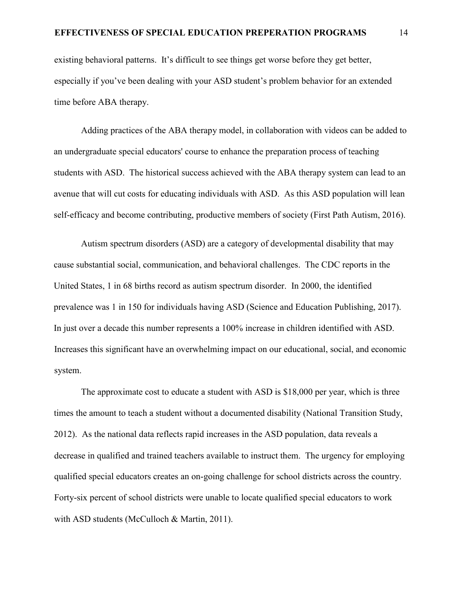existing behavioral patterns. It's difficult to see things get worse before they get better, especially if you've been dealing with your ASD student's problem behavior for an extended time before ABA therapy.

Adding practices of the ABA therapy model, in collaboration with videos can be added to an undergraduate special educators' course to enhance the preparation process of teaching students with ASD. The historical success achieved with the ABA therapy system can lead to an avenue that will cut costs for educating individuals with ASD. As this ASD population will lean self-efficacy and become contributing, productive members of society (First Path Autism, 2016).

Autism spectrum disorders (ASD) are a category of developmental disability that may cause substantial social, communication, and behavioral challenges. The CDC reports in the United States, 1 in 68 births record as autism spectrum disorder. In 2000, the identified prevalence was 1 in 150 for individuals having ASD (Science and Education Publishing, 2017). In just over a decade this number represents a 100% increase in children identified with ASD. Increases this significant have an overwhelming impact on our educational, social, and economic system.

The approximate cost to educate a student with ASD is \$18,000 per year, which is three times the amount to teach a student without a documented disability (National Transition Study, 2012). As the national data reflects rapid increases in the ASD population, data reveals a decrease in qualified and trained teachers available to instruct them. The urgency for employing qualified special educators creates an on-going challenge for school districts across the country. Forty-six percent of school districts were unable to locate qualified special educators to work with ASD students (McCulloch & Martin, 2011).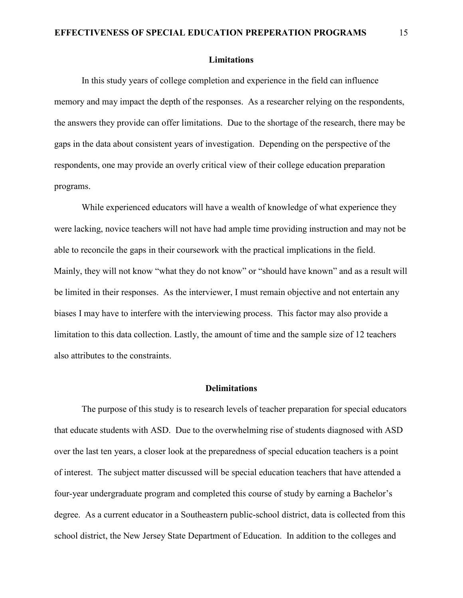#### **Limitations**

 In this study years of college completion and experience in the field can influence memory and may impact the depth of the responses. As a researcher relying on the respondents, the answers they provide can offer limitations. Due to the shortage of the research, there may be gaps in the data about consistent years of investigation. Depending on the perspective of the respondents, one may provide an overly critical view of their college education preparation programs.

 While experienced educators will have a wealth of knowledge of what experience they were lacking, novice teachers will not have had ample time providing instruction and may not be able to reconcile the gaps in their coursework with the practical implications in the field. Mainly, they will not know "what they do not know" or "should have known" and as a result will be limited in their responses. As the interviewer, I must remain objective and not entertain any biases I may have to interfere with the interviewing process. This factor may also provide a limitation to this data collection. Lastly, the amount of time and the sample size of 12 teachers also attributes to the constraints.

#### **Delimitations**

 The purpose of this study is to research levels of teacher preparation for special educators that educate students with ASD. Due to the overwhelming rise of students diagnosed with ASD over the last ten years, a closer look at the preparedness of special education teachers is a point of interest. The subject matter discussed will be special education teachers that have attended a four-year undergraduate program and completed this course of study by earning a Bachelor's degree. As a current educator in a Southeastern public-school district, data is collected from this school district, the New Jersey State Department of Education. In addition to the colleges and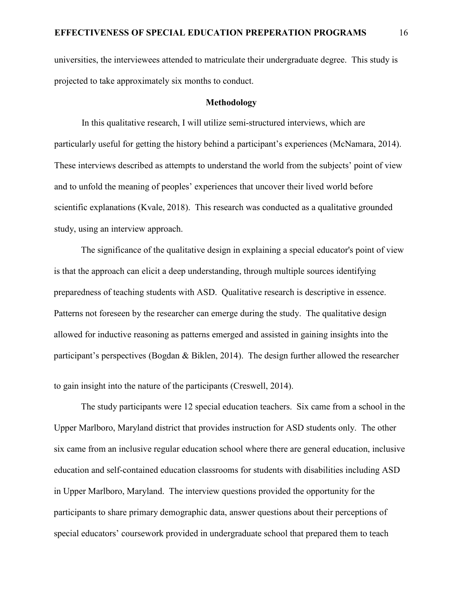universities, the interviewees attended to matriculate their undergraduate degree. This study is projected to take approximately six months to conduct.

#### **Methodology**

 In this qualitative research, I will utilize semi-structured interviews, which are particularly useful for getting the history behind a participant's experiences (McNamara, 2014). These interviews described as attempts to understand the world from the subjects' point of view and to unfold the meaning of peoples' experiences that uncover their lived world before scientific explanations (Kvale, 2018). This research was conducted as a qualitative grounded study, using an interview approach.

The significance of the qualitative design in explaining a special educator's point of view is that the approach can elicit a deep understanding, through multiple sources identifying preparedness of teaching students with ASD. Qualitative research is descriptive in essence. Patterns not foreseen by the researcher can emerge during the study. The qualitative design allowed for inductive reasoning as patterns emerged and assisted in gaining insights into the participant's perspectives (Bogdan & Biklen, 2014). The design further allowed the researcher

to gain insight into the nature of the participants (Creswell, 2014).

The study participants were 12 special education teachers. Six came from a school in the Upper Marlboro, Maryland district that provides instruction for ASD students only. The other six came from an inclusive regular education school where there are general education, inclusive education and self-contained education classrooms for students with disabilities including ASD in Upper Marlboro, Maryland. The interview questions provided the opportunity for the participants to share primary demographic data, answer questions about their perceptions of special educators' coursework provided in undergraduate school that prepared them to teach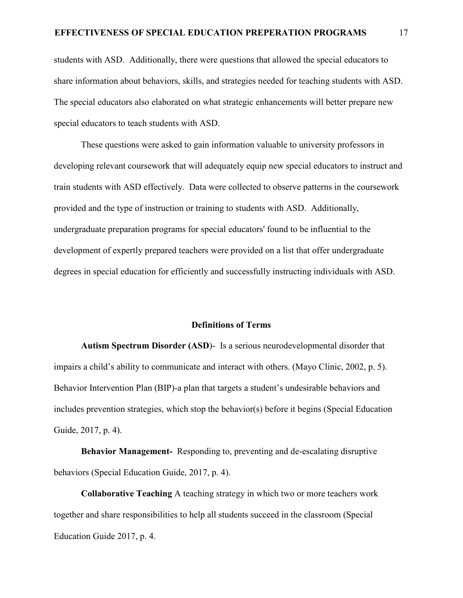students with ASD. Additionally, there were questions that allowed the special educators to share information about behaviors, skills, and strategies needed for teaching students with ASD. The special educators also elaborated on what strategic enhancements will better prepare new special educators to teach students with ASD.

These questions were asked to gain information valuable to university professors in developing relevant coursework that will adequately equip new special educators to instruct and train students with ASD effectively. Data were collected to observe patterns in the coursework provided and the type of instruction or training to students with ASD. Additionally, undergraduate preparation programs for special educators' found to be influential to the development of expertly prepared teachers were provided on a list that offer undergraduate degrees in special education for efficiently and successfully instructing individuals with ASD.

#### **Definitions of Terms**

**Autism Spectrum Disorder (ASD**)- Is a serious neurodevelopmental disorder that impairs a child's ability to communicate and interact with others. (Mayo Clinic, 2002, p. 5). Behavior Intervention Plan (BIP)-a plan that targets a student's undesirable behaviors and includes prevention strategies, which stop the behavior(s) before it begins (Special Education Guide, 2017, p. 4).

**Behavior Management-** Responding to, preventing and de-escalating disruptive behaviors (Special Education Guide, 2017, p. 4).

**Collaborative Teaching** A teaching strategy in which two or more teachers work together and share responsibilities to help all students succeed in the classroom (Special Education Guide 2017, p. 4.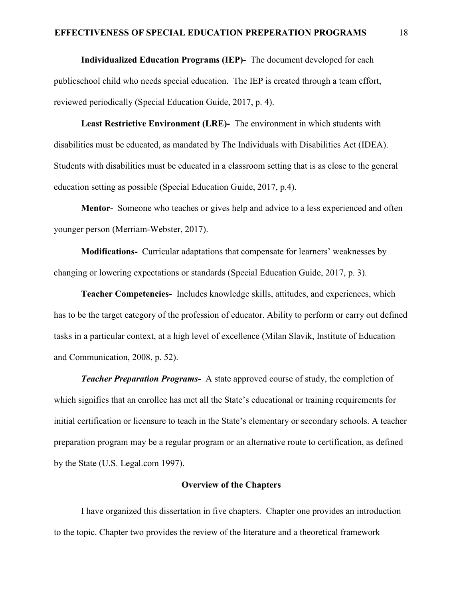**Individualized Education Programs (IEP)-** The document developed for each publicschool child who needs special education. The IEP is created through a team effort, reviewed periodically (Special Education Guide, 2017, p. 4).

**Least Restrictive Environment (LRE)-** The environment in which students with disabilities must be educated, as mandated by The Individuals with Disabilities Act (IDEA). Students with disabilities must be educated in a classroom setting that is as close to the general education setting as possible (Special Education Guide, 2017, p.4).

**Mentor-** Someone who teaches or gives help and advice to a less experienced and often younger person (Merriam-Webster, 2017).

**Modifications-** Curricular adaptations that compensate for learners' weaknesses by changing or lowering expectations or standards (Special Education Guide, 2017, p. 3).

**Teacher Competencies-** Includes knowledge skills, attitudes, and experiences, which has to be the target category of the profession of educator. Ability to perform or carry out defined tasks in a particular context, at a high level of excellence (Milan Slavik, Institute of Education and Communication, 2008, p. 52).

*Teacher Preparation Programs***-** A state approved course of study, the completion of which signifies that an enrollee has met all the State's educational or training requirements for initial certification or licensure to teach in the State's elementary or secondary schools. A teacher preparation program may be a regular program or an alternative route to certification, as defined by the State (U.S. Legal.com 1997).

#### **Overview of the Chapters**

I have organized this dissertation in five chapters. Chapter one provides an introduction to the topic. Chapter two provides the review of the literature and a theoretical framework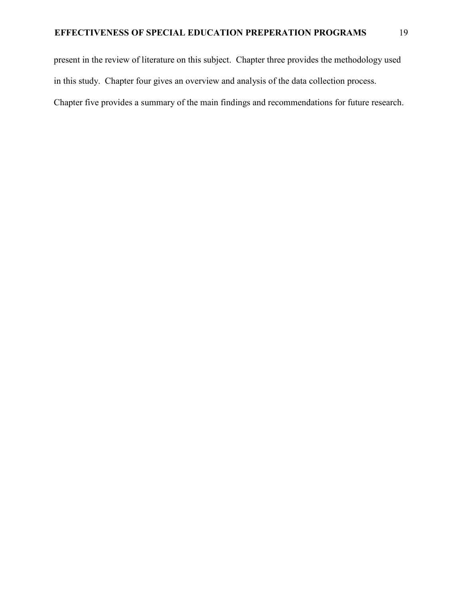present in the review of literature on this subject. Chapter three provides the methodology used in this study. Chapter four gives an overview and analysis of the data collection process. Chapter five provides a summary of the main findings and recommendations for future research.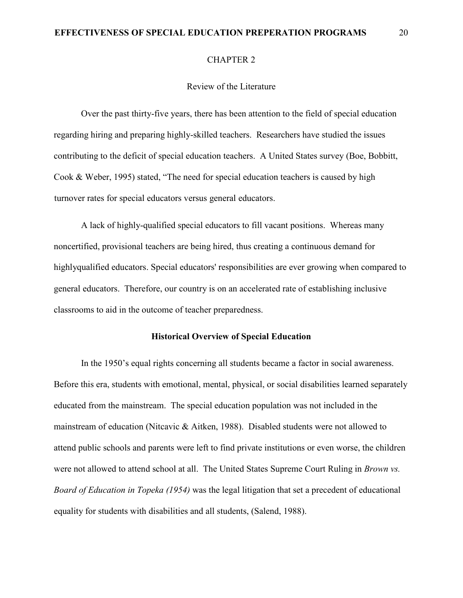#### **EFFECTIVENESS OF SPECIAL EDUCATION PREPERATION PROGRAMS** 20

#### CHAPTER 2

#### Review of the Literature

Over the past thirty-five years, there has been attention to the field of special education regarding hiring and preparing highly-skilled teachers. Researchers have studied the issues contributing to the deficit of special education teachers. A United States survey (Boe, Bobbitt, Cook & Weber, 1995) stated, "The need for special education teachers is caused by high turnover rates for special educators versus general educators.

A lack of highly-qualified special educators to fill vacant positions. Whereas many noncertified, provisional teachers are being hired, thus creating a continuous demand for highlyqualified educators. Special educators' responsibilities are ever growing when compared to general educators. Therefore, our country is on an accelerated rate of establishing inclusive classrooms to aid in the outcome of teacher preparedness.

#### **Historical Overview of Special Education**

In the 1950's equal rights concerning all students became a factor in social awareness. Before this era, students with emotional, mental, physical, or social disabilities learned separately educated from the mainstream. The special education population was not included in the mainstream of education (Nitcavic & Aitken, 1988). Disabled students were not allowed to attend public schools and parents were left to find private institutions or even worse, the children were not allowed to attend school at all. The United States Supreme Court Ruling in *Brown vs. Board of Education in Topeka (1954)* was the legal litigation that set a precedent of educational equality for students with disabilities and all students, (Salend, 1988).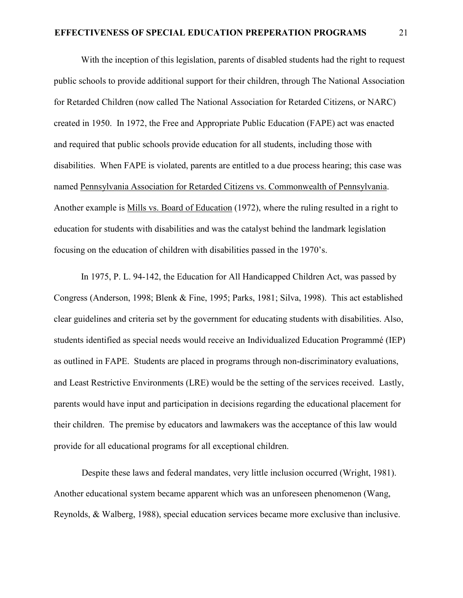With the inception of this legislation, parents of disabled students had the right to request public schools to provide additional support for their children, through The National Association for Retarded Children (now called The National Association for Retarded Citizens, or NARC) created in 1950. In 1972, the Free and Appropriate Public Education (FAPE) act was enacted and required that public schools provide education for all students, including those with disabilities. When FAPE is violated, parents are entitled to a due process hearing; this case was named Pennsylvania Association for Retarded Citizens vs. Commonwealth of Pennsylvania. Another example is Mills vs. Board of Education (1972), where the ruling resulted in a right to education for students with disabilities and was the catalyst behind the landmark legislation focusing on the education of children with disabilities passed in the 1970's.

In 1975, P. L. 94-142, the Education for All Handicapped Children Act, was passed by Congress (Anderson, 1998; Blenk & Fine, 1995; Parks, 1981; Silva, 1998). This act established clear guidelines and criteria set by the government for educating students with disabilities. Also, students identified as special needs would receive an Individualized Education Programmé (IEP) as outlined in FAPE. Students are placed in programs through non-discriminatory evaluations, and Least Restrictive Environments (LRE) would be the setting of the services received. Lastly, parents would have input and participation in decisions regarding the educational placement for their children. The premise by educators and lawmakers was the acceptance of this law would provide for all educational programs for all exceptional children.

Despite these laws and federal mandates, very little inclusion occurred (Wright, 1981). Another educational system became apparent which was an unforeseen phenomenon (Wang, Reynolds, & Walberg, 1988), special education services became more exclusive than inclusive.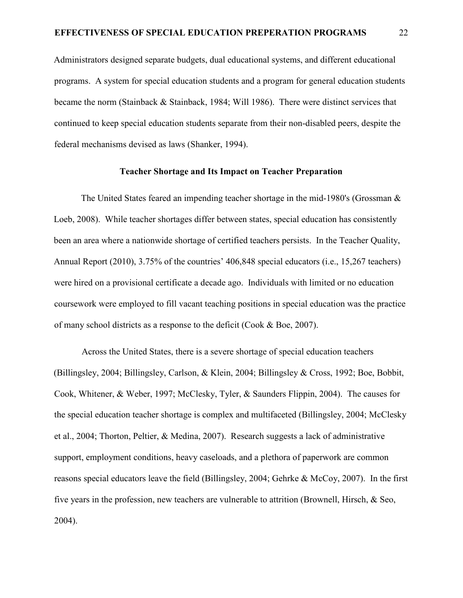Administrators designed separate budgets, dual educational systems, and different educational programs. A system for special education students and a program for general education students became the norm (Stainback & Stainback, 1984; Will 1986). There were distinct services that continued to keep special education students separate from their non-disabled peers, despite the federal mechanisms devised as laws (Shanker, 1994).

#### **Teacher Shortage and Its Impact on Teacher Preparation**

The United States feared an impending teacher shortage in the mid-1980's (Grossman & Loeb, 2008). While teacher shortages differ between states, special education has consistently been an area where a nationwide shortage of certified teachers persists. In the Teacher Quality, Annual Report (2010), 3.75% of the countries' 406,848 special educators (i.e., 15,267 teachers) were hired on a provisional certificate a decade ago. Individuals with limited or no education coursework were employed to fill vacant teaching positions in special education was the practice of many school districts as a response to the deficit (Cook & Boe, 2007).

Across the United States, there is a severe shortage of special education teachers (Billingsley, 2004; Billingsley, Carlson, & Klein, 2004; Billingsley & Cross, 1992; Boe, Bobbit, Cook, Whitener, & Weber, 1997; McClesky, Tyler, & Saunders Flippin, 2004). The causes for the special education teacher shortage is complex and multifaceted (Billingsley, 2004; McClesky et al., 2004; Thorton, Peltier, & Medina, 2007). Research suggests a lack of administrative support, employment conditions, heavy caseloads, and a plethora of paperwork are common reasons special educators leave the field (Billingsley, 2004; Gehrke & McCoy, 2007). In the first five years in the profession, new teachers are vulnerable to attrition (Brownell, Hirsch, & Seo, 2004).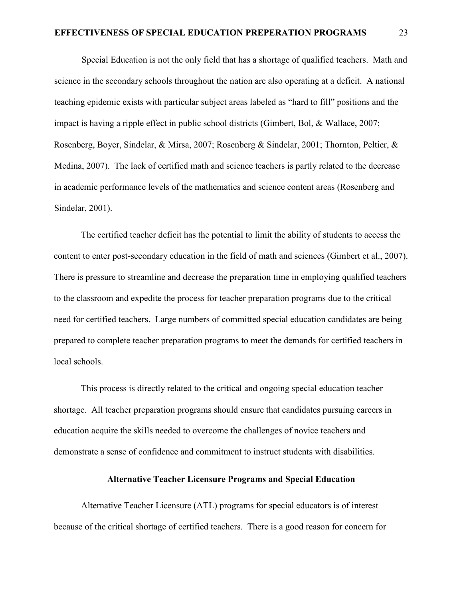Special Education is not the only field that has a shortage of qualified teachers. Math and science in the secondary schools throughout the nation are also operating at a deficit. A national teaching epidemic exists with particular subject areas labeled as "hard to fill" positions and the impact is having a ripple effect in public school districts (Gimbert, Bol, & Wallace, 2007; Rosenberg, Boyer, Sindelar, & Mirsa, 2007; Rosenberg & Sindelar, 2001; Thornton, Peltier, & Medina, 2007). The lack of certified math and science teachers is partly related to the decrease in academic performance levels of the mathematics and science content areas (Rosenberg and Sindelar, 2001).

The certified teacher deficit has the potential to limit the ability of students to access the content to enter post-secondary education in the field of math and sciences (Gimbert et al., 2007). There is pressure to streamline and decrease the preparation time in employing qualified teachers to the classroom and expedite the process for teacher preparation programs due to the critical need for certified teachers. Large numbers of committed special education candidates are being prepared to complete teacher preparation programs to meet the demands for certified teachers in local schools.

This process is directly related to the critical and ongoing special education teacher shortage. All teacher preparation programs should ensure that candidates pursuing careers in education acquire the skills needed to overcome the challenges of novice teachers and demonstrate a sense of confidence and commitment to instruct students with disabilities.

#### **Alternative Teacher Licensure Programs and Special Education**

Alternative Teacher Licensure (ATL) programs for special educators is of interest because of the critical shortage of certified teachers. There is a good reason for concern for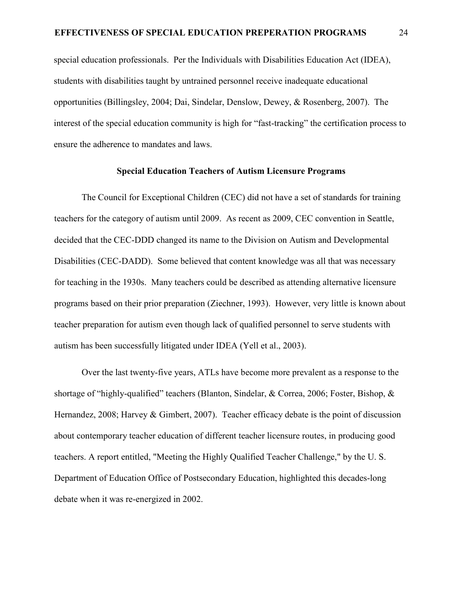special education professionals. Per the Individuals with Disabilities Education Act (IDEA), students with disabilities taught by untrained personnel receive inadequate educational opportunities (Billingsley, 2004; Dai, Sindelar, Denslow, Dewey, & Rosenberg, 2007). The interest of the special education community is high for "fast-tracking" the certification process to ensure the adherence to mandates and laws.

#### **Special Education Teachers of Autism Licensure Programs**

 The Council for Exceptional Children (CEC) did not have a set of standards for training teachers for the category of autism until 2009. As recent as 2009, CEC convention in Seattle, decided that the CEC-DDD changed its name to the Division on Autism and Developmental Disabilities (CEC-DADD). Some believed that content knowledge was all that was necessary for teaching in the 1930s. Many teachers could be described as attending alternative licensure programs based on their prior preparation (Ziechner, 1993). However, very little is known about teacher preparation for autism even though lack of qualified personnel to serve students with autism has been successfully litigated under IDEA (Yell et al., 2003).

 Over the last twenty-five years, ATLs have become more prevalent as a response to the shortage of "highly-qualified" teachers (Blanton, Sindelar, & Correa, 2006; Foster, Bishop, & Hernandez, 2008; Harvey & Gimbert, 2007). Teacher efficacy debate is the point of discussion about contemporary teacher education of different teacher licensure routes, in producing good teachers. A report entitled, "Meeting the Highly Qualified Teacher Challenge," by the U. S. Department of Education Office of Postsecondary Education, highlighted this decades-long debate when it was re-energized in 2002.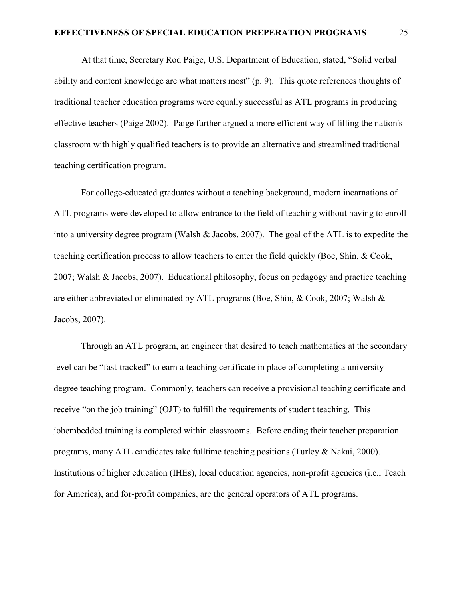#### **EFFECTIVENESS OF SPECIAL EDUCATION PREPERATION PROGRAMS** 25

 At that time, Secretary Rod Paige, U.S. Department of Education, stated, "Solid verbal ability and content knowledge are what matters most" (p. 9). This quote references thoughts of traditional teacher education programs were equally successful as ATL programs in producing effective teachers (Paige 2002). Paige further argued a more efficient way of filling the nation's classroom with highly qualified teachers is to provide an alternative and streamlined traditional teaching certification program.

For college-educated graduates without a teaching background, modern incarnations of ATL programs were developed to allow entrance to the field of teaching without having to enroll into a university degree program (Walsh & Jacobs, 2007). The goal of the ATL is to expedite the teaching certification process to allow teachers to enter the field quickly (Boe, Shin, & Cook, 2007; Walsh & Jacobs, 2007). Educational philosophy, focus on pedagogy and practice teaching are either abbreviated or eliminated by ATL programs (Boe, Shin, & Cook, 2007; Walsh & Jacobs, 2007).

Through an ATL program, an engineer that desired to teach mathematics at the secondary level can be "fast-tracked" to earn a teaching certificate in place of completing a university degree teaching program. Commonly, teachers can receive a provisional teaching certificate and receive "on the job training" (OJT) to fulfill the requirements of student teaching. This jobembedded training is completed within classrooms. Before ending their teacher preparation programs, many ATL candidates take fulltime teaching positions (Turley & Nakai, 2000). Institutions of higher education (IHEs), local education agencies, non-profit agencies (i.e., Teach for America), and for-profit companies, are the general operators of ATL programs.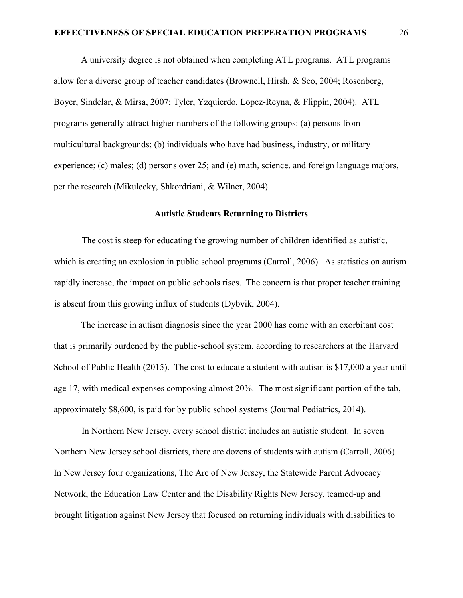A university degree is not obtained when completing ATL programs. ATL programs allow for a diverse group of teacher candidates (Brownell, Hirsh, & Seo, 2004; Rosenberg, Boyer, Sindelar, & Mirsa, 2007; Tyler, Yzquierdo, Lopez-Reyna, & Flippin, 2004). ATL programs generally attract higher numbers of the following groups: (a) persons from multicultural backgrounds; (b) individuals who have had business, industry, or military experience; (c) males; (d) persons over 25; and (e) math, science, and foreign language majors, per the research (Mikulecky, Shkordriani, & Wilner, 2004).

#### **Autistic Students Returning to Districts**

 The cost is steep for educating the growing number of children identified as autistic, which is creating an explosion in public school programs (Carroll, 2006). As statistics on autism rapidly increase, the impact on public schools rises. The concern is that proper teacher training is absent from this growing influx of students (Dybvik, 2004).

The increase in autism diagnosis since the year 2000 has come with an exorbitant cost that is primarily burdened by the public-school system, according to researchers at the Harvard School of Public Health (2015). The cost to educate a student with autism is \$17,000 a year until age 17, with medical expenses composing almost 20%. The most significant portion of the tab, approximately \$8,600, is paid for by public school systems (Journal Pediatrics, 2014).

 In Northern New Jersey, every school district includes an autistic student. In seven Northern New Jersey school districts, there are dozens of students with autism (Carroll, 2006). In New Jersey four organizations, The Arc of New Jersey, the Statewide Parent Advocacy Network, the Education Law Center and the Disability Rights New Jersey, teamed-up and brought litigation against New Jersey that focused on returning individuals with disabilities to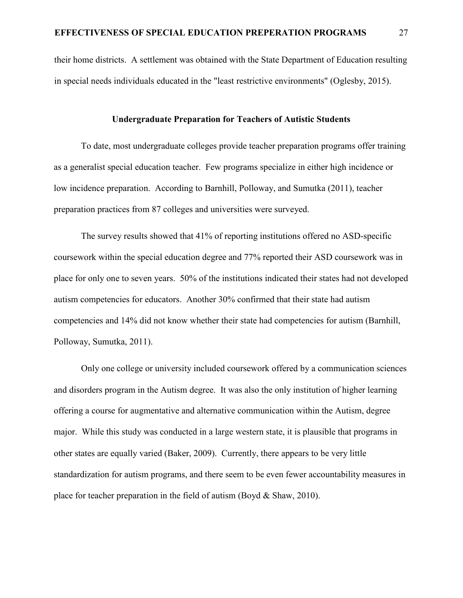their home districts. A settlement was obtained with the State Department of Education resulting in special needs individuals educated in the "least restrictive environments" (Oglesby, 2015).

#### **Undergraduate Preparation for Teachers of Autistic Students**

To date, most undergraduate colleges provide teacher preparation programs offer training as a generalist special education teacher. Few programs specialize in either high incidence or low incidence preparation. According to Barnhill, Polloway, and Sumutka (2011), teacher preparation practices from 87 colleges and universities were surveyed.

The survey results showed that 41% of reporting institutions offered no ASD-specific coursework within the special education degree and 77% reported their ASD coursework was in place for only one to seven years. 50% of the institutions indicated their states had not developed autism competencies for educators. Another 30% confirmed that their state had autism competencies and 14% did not know whether their state had competencies for autism (Barnhill, Polloway, Sumutka, 2011).

Only one college or university included coursework offered by a communication sciences and disorders program in the Autism degree. It was also the only institution of higher learning offering a course for augmentative and alternative communication within the Autism, degree major. While this study was conducted in a large western state, it is plausible that programs in other states are equally varied (Baker, 2009). Currently, there appears to be very little standardization for autism programs, and there seem to be even fewer accountability measures in place for teacher preparation in the field of autism (Boyd & Shaw, 2010).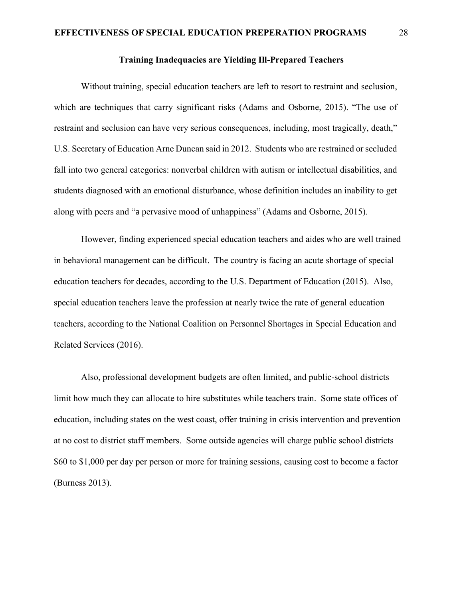# **Training Inadequacies are Yielding Ill-Prepared Teachers**

Without training, special education teachers are left to resort to restraint and seclusion, which are techniques that carry significant risks (Adams and Osborne, 2015). "The use of restraint and seclusion can have very serious consequences, including, most tragically, death," U.S. Secretary of Education Arne Duncan said in 2012. Students who are restrained or secluded fall into two general categories: nonverbal children with autism or intellectual disabilities, and students diagnosed with an emotional disturbance, whose definition includes an inability to get along with peers and "a pervasive mood of unhappiness" (Adams and Osborne, 2015).

However, finding experienced special education teachers and aides who are well trained in behavioral management can be difficult. The country is facing an acute shortage of special education teachers for decades, according to the U.S. Department of Education (2015). Also, special education teachers leave the profession at nearly twice the rate of general education teachers, according to the National Coalition on Personnel Shortages in Special Education and Related Services (2016).

Also, professional development budgets are often limited, and public-school districts limit how much they can allocate to hire substitutes while teachers train. Some state offices of education, including states on the west coast, offer training in crisis intervention and prevention at no cost to district staff members. Some outside agencies will charge public school districts \$60 to \$1,000 per day per person or more for training sessions, causing cost to become a factor (Burness 2013).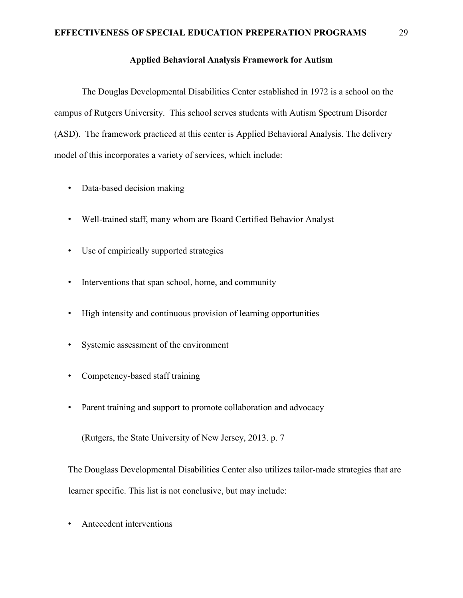# **Applied Behavioral Analysis Framework for Autism**

 The Douglas Developmental Disabilities Center established in 1972 is a school on the campus of Rutgers University. This school serves students with Autism Spectrum Disorder (ASD). The framework practiced at this center is Applied Behavioral Analysis. The delivery model of this incorporates a variety of services, which include:

- Data-based decision making
- Well-trained staff, many whom are Board Certified Behavior Analyst
- Use of empirically supported strategies
- Interventions that span school, home, and community
- High intensity and continuous provision of learning opportunities
- Systemic assessment of the environment
- Competency-based staff training
- Parent training and support to promote collaboration and advocacy

(Rutgers, the State University of New Jersey, 2013. p. 7

The Douglass Developmental Disabilities Center also utilizes tailor-made strategies that are learner specific. This list is not conclusive, but may include:

• Antecedent interventions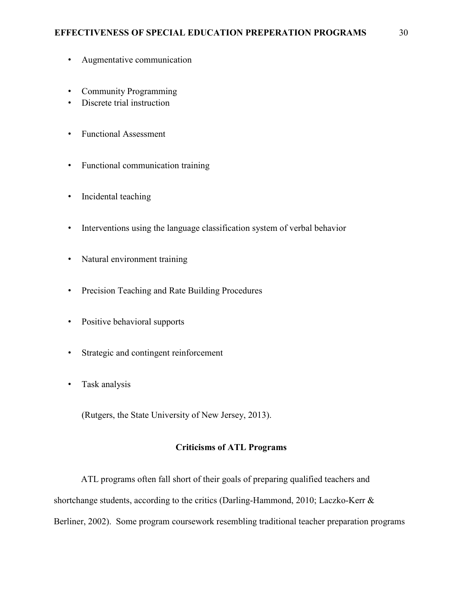- Augmentative communication
- Community Programming
- Discrete trial instruction
- Functional Assessment
- Functional communication training
- Incidental teaching
- Interventions using the language classification system of verbal behavior
- Natural environment training
- Precision Teaching and Rate Building Procedures
- Positive behavioral supports
- Strategic and contingent reinforcement
- Task analysis

(Rutgers, the State University of New Jersey, 2013).

#### **Criticisms of ATL Programs**

ATL programs often fall short of their goals of preparing qualified teachers and shortchange students, according to the critics (Darling-Hammond, 2010; Laczko-Kerr & Berliner, 2002). Some program coursework resembling traditional teacher preparation programs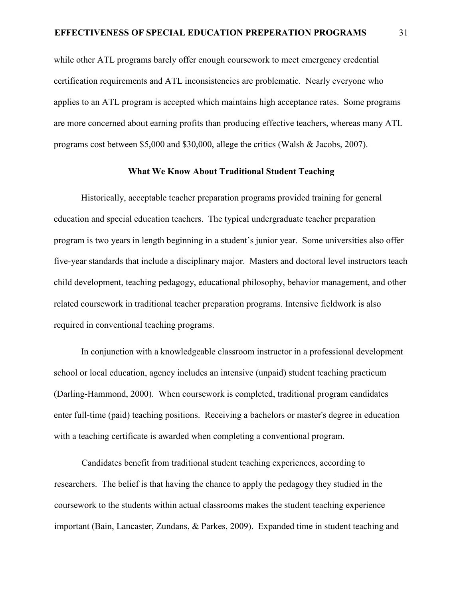while other ATL programs barely offer enough coursework to meet emergency credential certification requirements and ATL inconsistencies are problematic. Nearly everyone who applies to an ATL program is accepted which maintains high acceptance rates. Some programs are more concerned about earning profits than producing effective teachers, whereas many ATL programs cost between \$5,000 and \$30,000, allege the critics (Walsh & Jacobs, 2007).

## **What We Know About Traditional Student Teaching**

Historically, acceptable teacher preparation programs provided training for general education and special education teachers. The typical undergraduate teacher preparation program is two years in length beginning in a student's junior year. Some universities also offer five-year standards that include a disciplinary major. Masters and doctoral level instructors teach child development, teaching pedagogy, educational philosophy, behavior management, and other related coursework in traditional teacher preparation programs. Intensive fieldwork is also required in conventional teaching programs.

In conjunction with a knowledgeable classroom instructor in a professional development school or local education, agency includes an intensive (unpaid) student teaching practicum (Darling-Hammond, 2000). When coursework is completed, traditional program candidates enter full-time (paid) teaching positions. Receiving a bachelors or master's degree in education with a teaching certificate is awarded when completing a conventional program.

 Candidates benefit from traditional student teaching experiences, according to researchers. The belief is that having the chance to apply the pedagogy they studied in the coursework to the students within actual classrooms makes the student teaching experience important (Bain, Lancaster, Zundans, & Parkes, 2009). Expanded time in student teaching and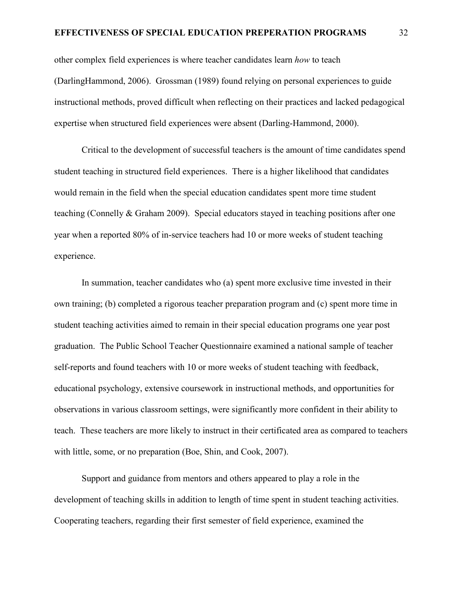## **EFFECTIVENESS OF SPECIAL EDUCATION PREPERATION PROGRAMS** 32

other complex field experiences is where teacher candidates learn *how* to teach (DarlingHammond, 2006). Grossman (1989) found relying on personal experiences to guide instructional methods, proved difficult when reflecting on their practices and lacked pedagogical expertise when structured field experiences were absent (Darling-Hammond, 2000).

 Critical to the development of successful teachers is the amount of time candidates spend student teaching in structured field experiences. There is a higher likelihood that candidates would remain in the field when the special education candidates spent more time student teaching (Connelly & Graham 2009). Special educators stayed in teaching positions after one year when a reported 80% of in-service teachers had 10 or more weeks of student teaching experience.

 In summation, teacher candidates who (a) spent more exclusive time invested in their own training; (b) completed a rigorous teacher preparation program and (c) spent more time in student teaching activities aimed to remain in their special education programs one year post graduation. The Public School Teacher Questionnaire examined a national sample of teacher self-reports and found teachers with 10 or more weeks of student teaching with feedback, educational psychology, extensive coursework in instructional methods, and opportunities for observations in various classroom settings, were significantly more confident in their ability to teach. These teachers are more likely to instruct in their certificated area as compared to teachers with little, some, or no preparation (Boe, Shin, and Cook, 2007).

 Support and guidance from mentors and others appeared to play a role in the development of teaching skills in addition to length of time spent in student teaching activities. Cooperating teachers, regarding their first semester of field experience, examined the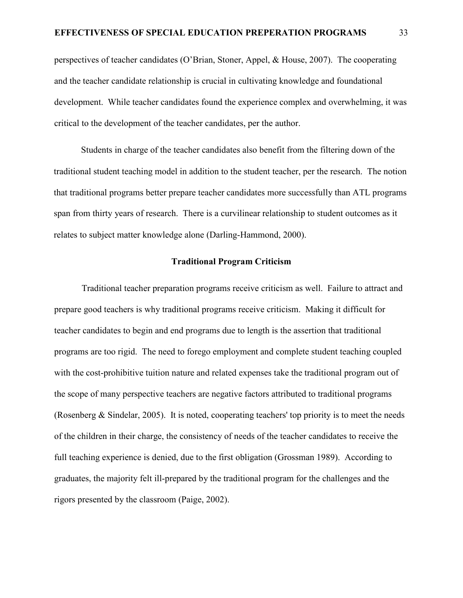perspectives of teacher candidates (O'Brian, Stoner, Appel, & House, 2007). The cooperating and the teacher candidate relationship is crucial in cultivating knowledge and foundational development. While teacher candidates found the experience complex and overwhelming, it was critical to the development of the teacher candidates, per the author.

Students in charge of the teacher candidates also benefit from the filtering down of the traditional student teaching model in addition to the student teacher, per the research. The notion that traditional programs better prepare teacher candidates more successfully than ATL programs span from thirty years of research. There is a curvilinear relationship to student outcomes as it relates to subject matter knowledge alone (Darling-Hammond, 2000).

# **Traditional Program Criticism**

 Traditional teacher preparation programs receive criticism as well. Failure to attract and prepare good teachers is why traditional programs receive criticism. Making it difficult for teacher candidates to begin and end programs due to length is the assertion that traditional programs are too rigid. The need to forego employment and complete student teaching coupled with the cost-prohibitive tuition nature and related expenses take the traditional program out of the scope of many perspective teachers are negative factors attributed to traditional programs (Rosenberg & Sindelar, 2005). It is noted, cooperating teachers' top priority is to meet the needs of the children in their charge, the consistency of needs of the teacher candidates to receive the full teaching experience is denied, due to the first obligation (Grossman 1989). According to graduates, the majority felt ill-prepared by the traditional program for the challenges and the rigors presented by the classroom (Paige, 2002).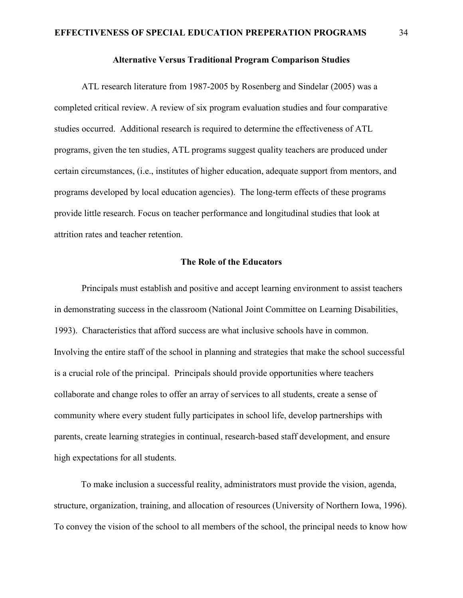## **Alternative Versus Traditional Program Comparison Studies**

 ATL research literature from 1987-2005 by Rosenberg and Sindelar (2005) was a completed critical review. A review of six program evaluation studies and four comparative studies occurred. Additional research is required to determine the effectiveness of ATL programs, given the ten studies, ATL programs suggest quality teachers are produced under certain circumstances, (i.e., institutes of higher education, adequate support from mentors, and programs developed by local education agencies). The long-term effects of these programs provide little research. Focus on teacher performance and longitudinal studies that look at attrition rates and teacher retention.

# **The Role of the Educators**

 Principals must establish and positive and accept learning environment to assist teachers in demonstrating success in the classroom (National Joint Committee on Learning Disabilities, 1993). Characteristics that afford success are what inclusive schools have in common. Involving the entire staff of the school in planning and strategies that make the school successful is a crucial role of the principal. Principals should provide opportunities where teachers collaborate and change roles to offer an array of services to all students, create a sense of community where every student fully participates in school life, develop partnerships with parents, create learning strategies in continual, research-based staff development, and ensure high expectations for all students.

To make inclusion a successful reality, administrators must provide the vision, agenda, structure, organization, training, and allocation of resources (University of Northern Iowa, 1996). To convey the vision of the school to all members of the school, the principal needs to know how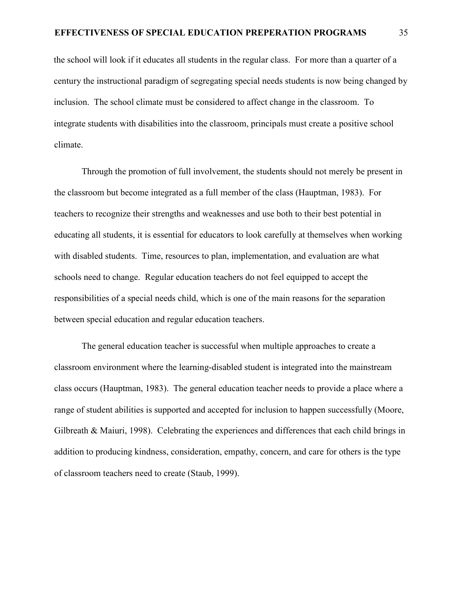the school will look if it educates all students in the regular class. For more than a quarter of a century the instructional paradigm of segregating special needs students is now being changed by inclusion. The school climate must be considered to affect change in the classroom. To integrate students with disabilities into the classroom, principals must create a positive school climate.

 Through the promotion of full involvement, the students should not merely be present in the classroom but become integrated as a full member of the class (Hauptman, 1983). For teachers to recognize their strengths and weaknesses and use both to their best potential in educating all students, it is essential for educators to look carefully at themselves when working with disabled students. Time, resources to plan, implementation, and evaluation are what schools need to change. Regular education teachers do not feel equipped to accept the responsibilities of a special needs child, which is one of the main reasons for the separation between special education and regular education teachers.

 The general education teacher is successful when multiple approaches to create a classroom environment where the learning-disabled student is integrated into the mainstream class occurs (Hauptman, 1983). The general education teacher needs to provide a place where a range of student abilities is supported and accepted for inclusion to happen successfully (Moore, Gilbreath & Maiuri, 1998). Celebrating the experiences and differences that each child brings in addition to producing kindness, consideration, empathy, concern, and care for others is the type of classroom teachers need to create (Staub, 1999).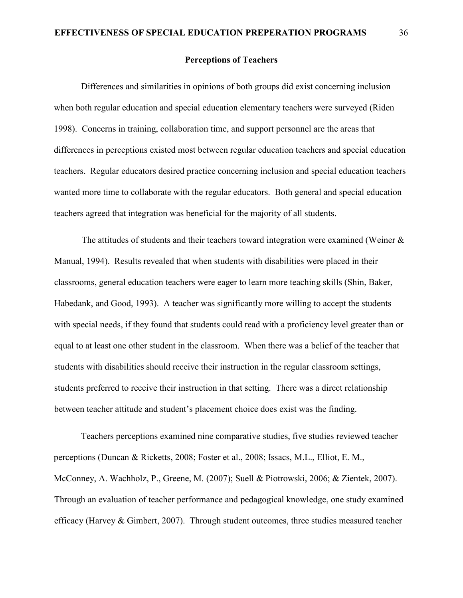# **Perceptions of Teachers**

Differences and similarities in opinions of both groups did exist concerning inclusion when both regular education and special education elementary teachers were surveyed (Riden 1998). Concerns in training, collaboration time, and support personnel are the areas that differences in perceptions existed most between regular education teachers and special education teachers. Regular educators desired practice concerning inclusion and special education teachers wanted more time to collaborate with the regular educators. Both general and special education teachers agreed that integration was beneficial for the majority of all students.

The attitudes of students and their teachers toward integration were examined (Weiner & Manual, 1994). Results revealed that when students with disabilities were placed in their classrooms, general education teachers were eager to learn more teaching skills (Shin, Baker, Habedank, and Good, 1993). A teacher was significantly more willing to accept the students with special needs, if they found that students could read with a proficiency level greater than or equal to at least one other student in the classroom. When there was a belief of the teacher that students with disabilities should receive their instruction in the regular classroom settings, students preferred to receive their instruction in that setting. There was a direct relationship between teacher attitude and student's placement choice does exist was the finding.

Teachers perceptions examined nine comparative studies, five studies reviewed teacher perceptions (Duncan & Ricketts, 2008; Foster et al., 2008; Issacs, M.L., Elliot, E. M., McConney, A. Wachholz, P., Greene, M. (2007); Suell & Piotrowski, 2006; & Zientek, 2007). Through an evaluation of teacher performance and pedagogical knowledge, one study examined efficacy (Harvey & Gimbert, 2007). Through student outcomes, three studies measured teacher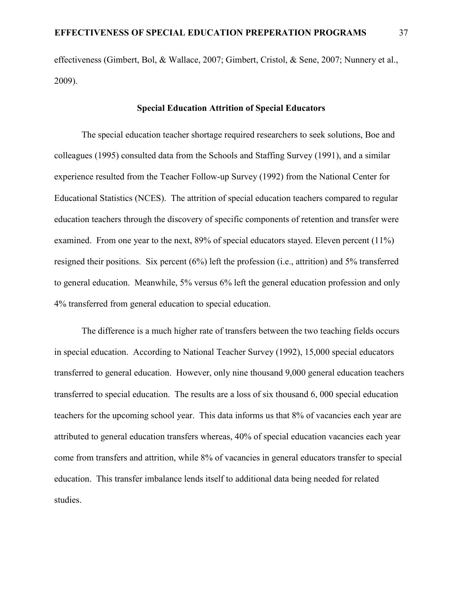effectiveness (Gimbert, Bol, & Wallace, 2007; Gimbert, Cristol, & Sene, 2007; Nunnery et al., 2009).

## **Special Education Attrition of Special Educators**

 The special education teacher shortage required researchers to seek solutions, Boe and colleagues (1995) consulted data from the Schools and Staffing Survey (1991), and a similar experience resulted from the Teacher Follow-up Survey (1992) from the National Center for Educational Statistics (NCES). The attrition of special education teachers compared to regular education teachers through the discovery of specific components of retention and transfer were examined. From one year to the next, 89% of special educators stayed. Eleven percent (11%) resigned their positions. Six percent (6%) left the profession (i.e., attrition) and 5% transferred to general education. Meanwhile, 5% versus 6% left the general education profession and only 4% transferred from general education to special education.

 The difference is a much higher rate of transfers between the two teaching fields occurs in special education. According to National Teacher Survey (1992), 15,000 special educators transferred to general education. However, only nine thousand 9,000 general education teachers transferred to special education. The results are a loss of six thousand 6, 000 special education teachers for the upcoming school year. This data informs us that 8% of vacancies each year are attributed to general education transfers whereas, 40% of special education vacancies each year come from transfers and attrition, while 8% of vacancies in general educators transfer to special education. This transfer imbalance lends itself to additional data being needed for related studies.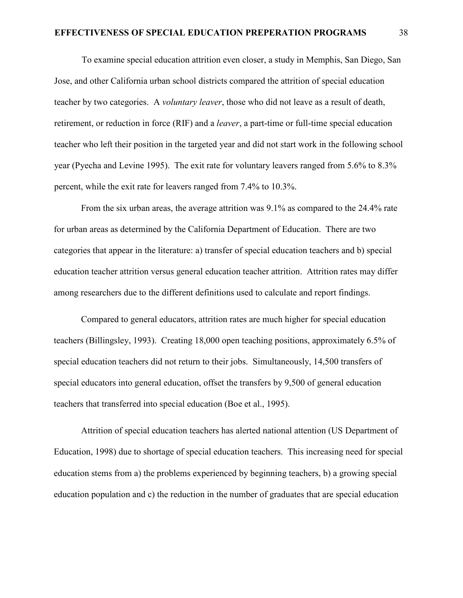To examine special education attrition even closer, a study in Memphis, San Diego, San Jose, and other California urban school districts compared the attrition of special education teacher by two categories. A *voluntary leaver*, those who did not leave as a result of death, retirement, or reduction in force (RIF) and a *leaver*, a part-time or full-time special education teacher who left their position in the targeted year and did not start work in the following school year (Pyecha and Levine 1995). The exit rate for voluntary leavers ranged from 5.6% to 8.3% percent, while the exit rate for leavers ranged from 7.4% to 10.3%.

From the six urban areas, the average attrition was 9.1% as compared to the 24.4% rate for urban areas as determined by the California Department of Education. There are two categories that appear in the literature: a) transfer of special education teachers and b) special education teacher attrition versus general education teacher attrition. Attrition rates may differ among researchers due to the different definitions used to calculate and report findings.

Compared to general educators, attrition rates are much higher for special education teachers (Billingsley, 1993). Creating 18,000 open teaching positions, approximately 6.5% of special education teachers did not return to their jobs. Simultaneously, 14,500 transfers of special educators into general education, offset the transfers by 9,500 of general education teachers that transferred into special education (Boe et al., 1995).

Attrition of special education teachers has alerted national attention (US Department of Education, 1998) due to shortage of special education teachers. This increasing need for special education stems from a) the problems experienced by beginning teachers, b) a growing special education population and c) the reduction in the number of graduates that are special education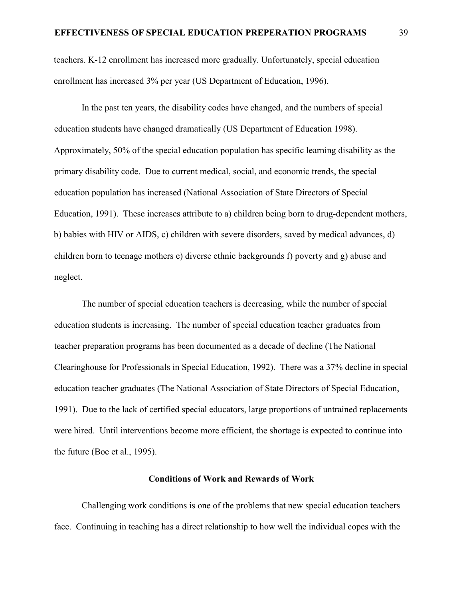teachers. K-12 enrollment has increased more gradually. Unfortunately, special education enrollment has increased 3% per year (US Department of Education, 1996).

 In the past ten years, the disability codes have changed, and the numbers of special education students have changed dramatically (US Department of Education 1998). Approximately, 50% of the special education population has specific learning disability as the primary disability code. Due to current medical, social, and economic trends, the special education population has increased (National Association of State Directors of Special Education, 1991). These increases attribute to a) children being born to drug-dependent mothers, b) babies with HIV or AIDS, c) children with severe disorders, saved by medical advances, d) children born to teenage mothers e) diverse ethnic backgrounds f) poverty and g) abuse and neglect.

 The number of special education teachers is decreasing, while the number of special education students is increasing. The number of special education teacher graduates from teacher preparation programs has been documented as a decade of decline (The National Clearinghouse for Professionals in Special Education, 1992). There was a 37% decline in special education teacher graduates (The National Association of State Directors of Special Education, 1991). Due to the lack of certified special educators, large proportions of untrained replacements were hired. Until interventions become more efficient, the shortage is expected to continue into the future (Boe et al., 1995).

#### **Conditions of Work and Rewards of Work**

 Challenging work conditions is one of the problems that new special education teachers face. Continuing in teaching has a direct relationship to how well the individual copes with the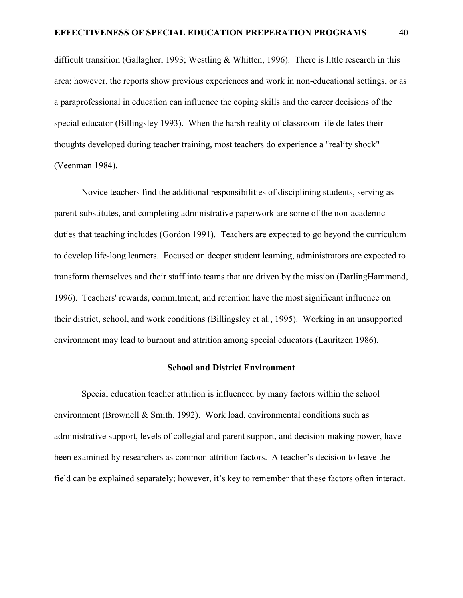difficult transition (Gallagher, 1993; Westling & Whitten, 1996). There is little research in this area; however, the reports show previous experiences and work in non-educational settings, or as a paraprofessional in education can influence the coping skills and the career decisions of the special educator (Billingsley 1993). When the harsh reality of classroom life deflates their thoughts developed during teacher training, most teachers do experience a "reality shock" (Veenman 1984).

 Novice teachers find the additional responsibilities of disciplining students, serving as parent-substitutes, and completing administrative paperwork are some of the non-academic duties that teaching includes (Gordon 1991). Teachers are expected to go beyond the curriculum to develop life-long learners. Focused on deeper student learning, administrators are expected to transform themselves and their staff into teams that are driven by the mission (DarlingHammond, 1996). Teachers' rewards, commitment, and retention have the most significant influence on their district, school, and work conditions (Billingsley et al., 1995). Working in an unsupported environment may lead to burnout and attrition among special educators (Lauritzen 1986).

#### **School and District Environment**

 Special education teacher attrition is influenced by many factors within the school environment (Brownell & Smith, 1992). Work load, environmental conditions such as administrative support, levels of collegial and parent support, and decision-making power, have been examined by researchers as common attrition factors. A teacher's decision to leave the field can be explained separately; however, it's key to remember that these factors often interact.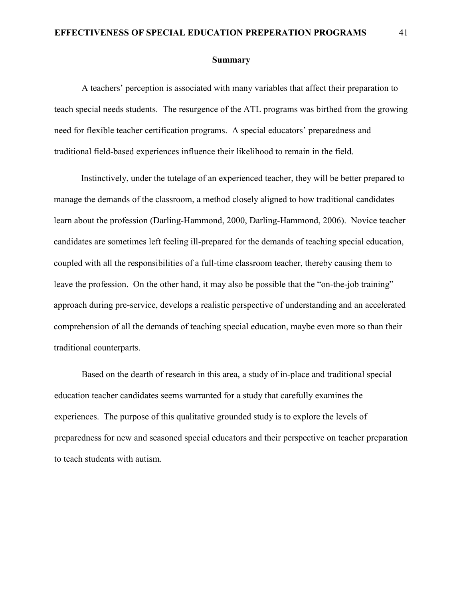## **EFFECTIVENESS OF SPECIAL EDUCATION PREPERATION PROGRAMS** 41

#### **Summary**

 A teachers' perception is associated with many variables that affect their preparation to teach special needs students. The resurgence of the ATL programs was birthed from the growing need for flexible teacher certification programs. A special educators' preparedness and traditional field-based experiences influence their likelihood to remain in the field.

Instinctively, under the tutelage of an experienced teacher, they will be better prepared to manage the demands of the classroom, a method closely aligned to how traditional candidates learn about the profession (Darling-Hammond, 2000, Darling-Hammond, 2006). Novice teacher candidates are sometimes left feeling ill-prepared for the demands of teaching special education, coupled with all the responsibilities of a full-time classroom teacher, thereby causing them to leave the profession. On the other hand, it may also be possible that the "on-the-job training" approach during pre-service, develops a realistic perspective of understanding and an accelerated comprehension of all the demands of teaching special education, maybe even more so than their traditional counterparts.

 Based on the dearth of research in this area, a study of in-place and traditional special education teacher candidates seems warranted for a study that carefully examines the experiences. The purpose of this qualitative grounded study is to explore the levels of preparedness for new and seasoned special educators and their perspective on teacher preparation to teach students with autism.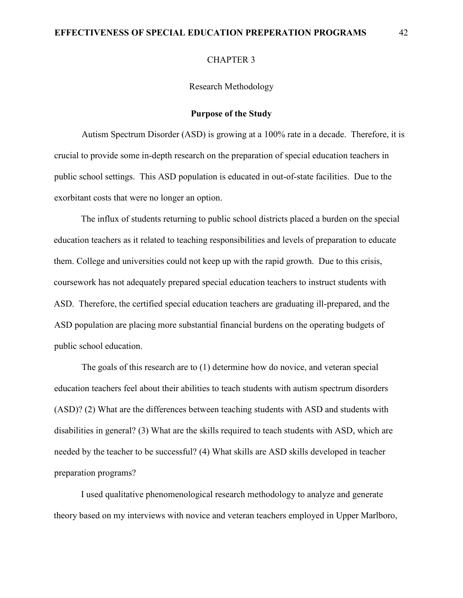#### CHAPTER 3

Research Methodology

# **Purpose of the Study**

Autism Spectrum Disorder (ASD) is growing at a 100% rate in a decade. Therefore, it is crucial to provide some in-depth research on the preparation of special education teachers in public school settings. This ASD population is educated in out-of-state facilities. Due to the exorbitant costs that were no longer an option.

The influx of students returning to public school districts placed a burden on the special education teachers as it related to teaching responsibilities and levels of preparation to educate them. College and universities could not keep up with the rapid growth. Due to this crisis, coursework has not adequately prepared special education teachers to instruct students with ASD. Therefore, the certified special education teachers are graduating ill-prepared, and the ASD population are placing more substantial financial burdens on the operating budgets of public school education.

The goals of this research are to (1) determine how do novice, and veteran special education teachers feel about their abilities to teach students with autism spectrum disorders (ASD)? (2) What are the differences between teaching students with ASD and students with disabilities in general? (3) What are the skills required to teach students with ASD, which are needed by the teacher to be successful? (4) What skills are ASD skills developed in teacher preparation programs?

I used qualitative phenomenological research methodology to analyze and generate theory based on my interviews with novice and veteran teachers employed in Upper Marlboro,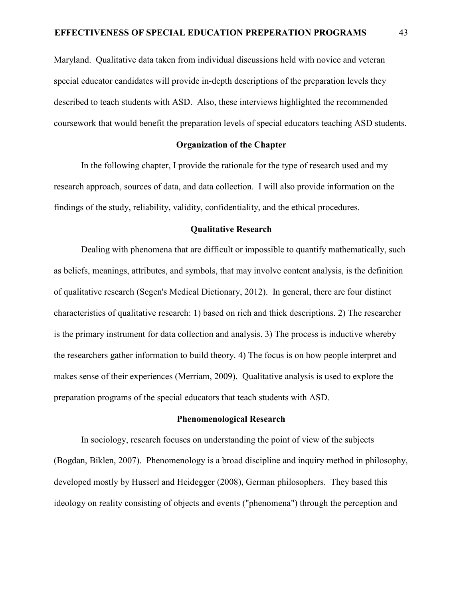Maryland. Qualitative data taken from individual discussions held with novice and veteran special educator candidates will provide in-depth descriptions of the preparation levels they described to teach students with ASD. Also, these interviews highlighted the recommended coursework that would benefit the preparation levels of special educators teaching ASD students.

#### **Organization of the Chapter**

In the following chapter, I provide the rationale for the type of research used and my research approach, sources of data, and data collection. I will also provide information on the findings of the study, reliability, validity, confidentiality, and the ethical procedures.

# **Qualitative Research**

Dealing with phenomena that are difficult or impossible to quantify mathematically, such as beliefs, meanings, attributes, and symbols, that may involve content analysis, is the definition of qualitative research (Segen's Medical Dictionary, 2012). In general, there are four distinct characteristics of qualitative research: 1) based on rich and thick descriptions. 2) The researcher is the primary instrument for data collection and analysis. 3) The process is inductive whereby the researchers gather information to build theory. 4) The focus is on how people interpret and makes sense of their experiences (Merriam, 2009). Qualitative analysis is used to explore the preparation programs of the special educators that teach students with ASD.

## **Phenomenological Research**

In sociology, research focuses on understanding the point of view of the subjects (Bogdan, Biklen, 2007). Phenomenology is a broad discipline and inquiry method in philosophy, developed mostly by Husserl and Heidegger (2008), German philosophers. They based this ideology on reality consisting of objects and events ("phenomena") through the perception and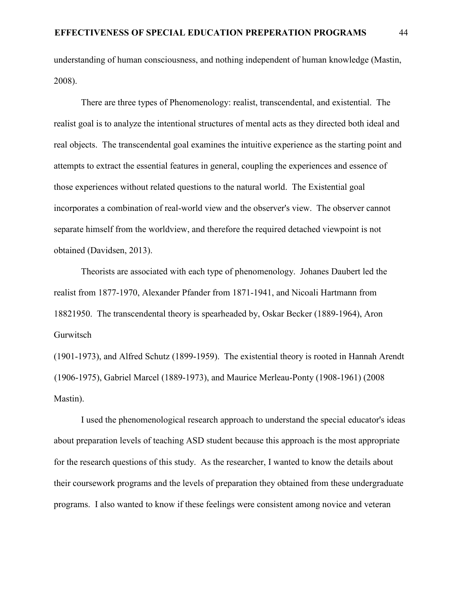understanding of human consciousness, and nothing independent of human knowledge (Mastin, 2008).

There are three types of Phenomenology: realist, transcendental, and existential. The realist goal is to analyze the intentional structures of mental acts as they directed both ideal and real objects. The transcendental goal examines the intuitive experience as the starting point and attempts to extract the essential features in general, coupling the experiences and essence of those experiences without related questions to the natural world. The Existential goal incorporates a combination of real-world view and the observer's view. The observer cannot separate himself from the worldview, and therefore the required detached viewpoint is not obtained (Davidsen, 2013).

Theorists are associated with each type of phenomenology. Johanes Daubert led the realist from 1877-1970, Alexander Pfander from 1871-1941, and Nicoali Hartmann from 18821950. The transcendental theory is spearheaded by, Oskar Becker (1889-1964), Aron Gurwitsch

(1901-1973), and Alfred Schutz (1899-1959). The existential theory is rooted in Hannah Arendt (1906-1975), Gabriel Marcel (1889-1973), and Maurice Merleau-Ponty (1908-1961) (2008 Mastin).

I used the phenomenological research approach to understand the special educator's ideas about preparation levels of teaching ASD student because this approach is the most appropriate for the research questions of this study. As the researcher, I wanted to know the details about their coursework programs and the levels of preparation they obtained from these undergraduate programs. I also wanted to know if these feelings were consistent among novice and veteran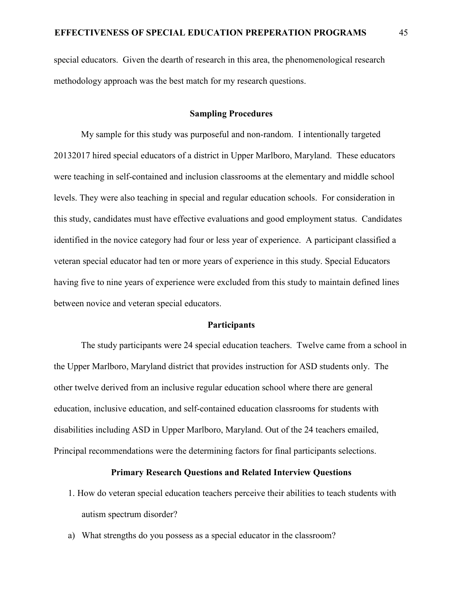special educators. Given the dearth of research in this area, the phenomenological research methodology approach was the best match for my research questions.

# **Sampling Procedures**

My sample for this study was purposeful and non-random. I intentionally targeted 20132017 hired special educators of a district in Upper Marlboro, Maryland. These educators were teaching in self-contained and inclusion classrooms at the elementary and middle school levels. They were also teaching in special and regular education schools. For consideration in this study, candidates must have effective evaluations and good employment status. Candidates identified in the novice category had four or less year of experience. A participant classified a veteran special educator had ten or more years of experience in this study. Special Educators having five to nine years of experience were excluded from this study to maintain defined lines between novice and veteran special educators.

#### **Participants**

The study participants were 24 special education teachers. Twelve came from a school in the Upper Marlboro, Maryland district that provides instruction for ASD students only. The other twelve derived from an inclusive regular education school where there are general education, inclusive education, and self-contained education classrooms for students with disabilities including ASD in Upper Marlboro, Maryland. Out of the 24 teachers emailed, Principal recommendations were the determining factors for final participants selections.

# **Primary Research Questions and Related Interview Questions**

- 1. How do veteran special education teachers perceive their abilities to teach students with autism spectrum disorder?
- a) What strengths do you possess as a special educator in the classroom?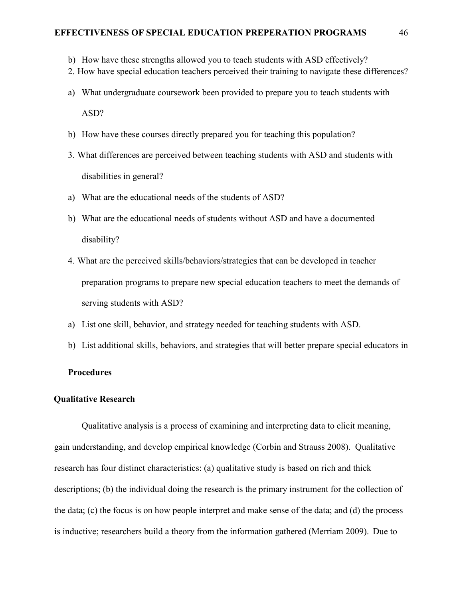- b) How have these strengths allowed you to teach students with ASD effectively?
- 2. How have special education teachers perceived their training to navigate these differences?
- a) What undergraduate coursework been provided to prepare you to teach students with ASD?
- b) How have these courses directly prepared you for teaching this population?
- 3. What differences are perceived between teaching students with ASD and students with disabilities in general?
- a) What are the educational needs of the students of ASD?
- b) What are the educational needs of students without ASD and have a documented disability?
- 4. What are the perceived skills/behaviors/strategies that can be developed in teacher preparation programs to prepare new special education teachers to meet the demands of serving students with ASD?
- a) List one skill, behavior, and strategy needed for teaching students with ASD.
- b) List additional skills, behaviors, and strategies that will better prepare special educators in

# **Procedures**

## **Qualitative Research**

 Qualitative analysis is a process of examining and interpreting data to elicit meaning, gain understanding, and develop empirical knowledge (Corbin and Strauss 2008). Qualitative research has four distinct characteristics: (a) qualitative study is based on rich and thick descriptions; (b) the individual doing the research is the primary instrument for the collection of the data; (c) the focus is on how people interpret and make sense of the data; and (d) the process is inductive; researchers build a theory from the information gathered (Merriam 2009). Due to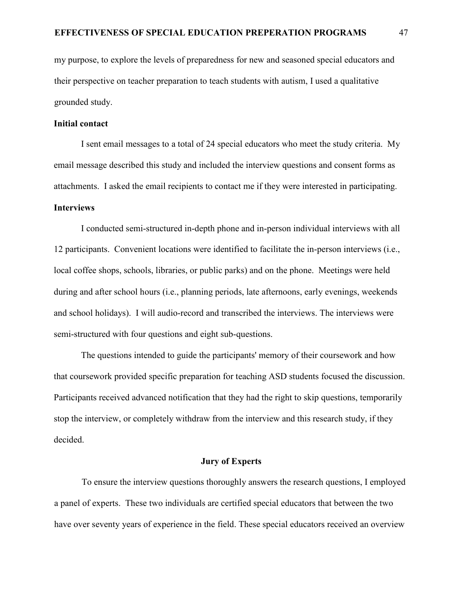my purpose, to explore the levels of preparedness for new and seasoned special educators and their perspective on teacher preparation to teach students with autism, I used a qualitative grounded study.

## **Initial contact**

I sent email messages to a total of 24 special educators who meet the study criteria. My email message described this study and included the interview questions and consent forms as attachments. I asked the email recipients to contact me if they were interested in participating.

# **Interviews**

I conducted semi-structured in-depth phone and in-person individual interviews with all 12 participants. Convenient locations were identified to facilitate the in-person interviews (i.e., local coffee shops, schools, libraries, or public parks) and on the phone. Meetings were held during and after school hours (i.e., planning periods, late afternoons, early evenings, weekends and school holidays). I will audio-record and transcribed the interviews. The interviews were semi-structured with four questions and eight sub-questions.

The questions intended to guide the participants' memory of their coursework and how that coursework provided specific preparation for teaching ASD students focused the discussion. Participants received advanced notification that they had the right to skip questions, temporarily stop the interview, or completely withdraw from the interview and this research study, if they decided.

# **Jury of Experts**

To ensure the interview questions thoroughly answers the research questions, I employed a panel of experts. These two individuals are certified special educators that between the two have over seventy years of experience in the field. These special educators received an overview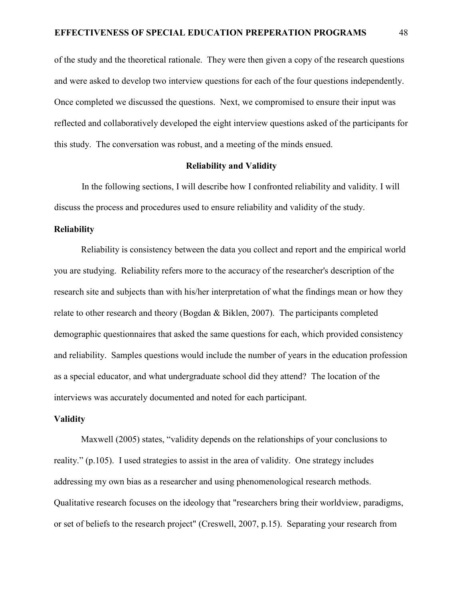of the study and the theoretical rationale. They were then given a copy of the research questions and were asked to develop two interview questions for each of the four questions independently. Once completed we discussed the questions. Next, we compromised to ensure their input was reflected and collaboratively developed the eight interview questions asked of the participants for this study. The conversation was robust, and a meeting of the minds ensued.

## **Reliability and Validity**

In the following sections, I will describe how I confronted reliability and validity. I will discuss the process and procedures used to ensure reliability and validity of the study.

#### **Reliability**

Reliability is consistency between the data you collect and report and the empirical world you are studying. Reliability refers more to the accuracy of the researcher's description of the research site and subjects than with his/her interpretation of what the findings mean or how they relate to other research and theory (Bogdan & Biklen, 2007). The participants completed demographic questionnaires that asked the same questions for each, which provided consistency and reliability. Samples questions would include the number of years in the education profession as a special educator, and what undergraduate school did they attend? The location of the interviews was accurately documented and noted for each participant.

## **Validity**

Maxwell (2005) states, "validity depends on the relationships of your conclusions to reality." (p.105). I used strategies to assist in the area of validity. One strategy includes addressing my own bias as a researcher and using phenomenological research methods. Qualitative research focuses on the ideology that "researchers bring their worldview, paradigms, or set of beliefs to the research project" (Creswell, 2007, p.15). Separating your research from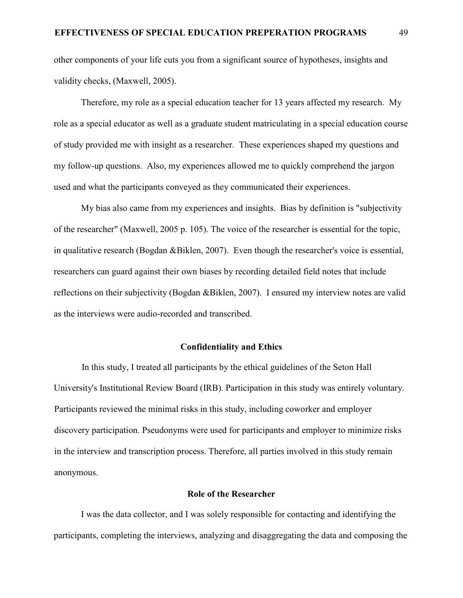other components of your life cuts you from a significant source of hypotheses, insights and validity checks, (Maxwell, 2005).

Therefore, my role as a special education teacher for 13 years affected my research. My role as a special educator as well as a graduate student matriculating in a special education course of study provided me with insight as a researcher. These experiences shaped my questions and my follow-up questions. Also, my experiences allowed me to quickly comprehend the jargon used and what the participants conveyed as they communicated their experiences.

My bias also came from my experiences and insights. Bias by definition is "subjectivity of the researcher" (Maxwell, 2005 p. 105). The voice of the researcher is essential for the topic, in qualitative research (Bogdan &Biklen, 2007). Even though the researcher's voice is essential, researchers can guard against their own biases by recording detailed field notes that include reflections on their subjectivity (Bogdan &Biklen, 2007). I ensured my interview notes are valid as the interviews were audio-recorded and transcribed.

#### **Confidentiality and Ethics**

In this study, I treated all participants by the ethical guidelines of the Seton Hall University's Institutional Review Board (IRB). Participation in this study was entirely voluntary. Participants reviewed the minimal risks in this study, including coworker and employer discovery participation. Pseudonyms were used for participants and employer to minimize risks in the interview and transcription process. Therefore, all parties involved in this study remain anonymous.

# **Role of the Researcher**

I was the data collector, and I was solely responsible for contacting and identifying the participants, completing the interviews, analyzing and disaggregating the data and composing the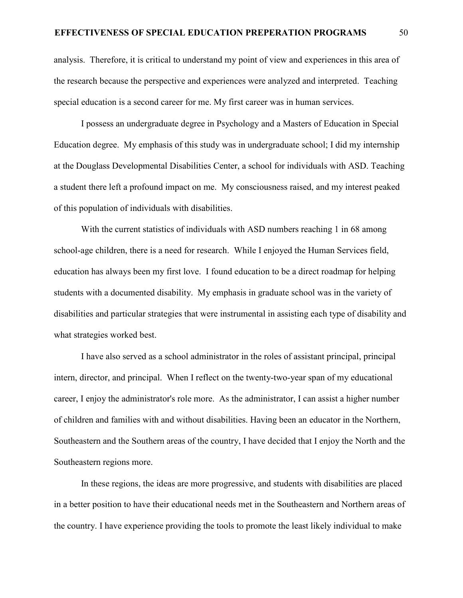analysis. Therefore, it is critical to understand my point of view and experiences in this area of the research because the perspective and experiences were analyzed and interpreted. Teaching special education is a second career for me. My first career was in human services.

I possess an undergraduate degree in Psychology and a Masters of Education in Special Education degree. My emphasis of this study was in undergraduate school; I did my internship at the Douglass Developmental Disabilities Center, a school for individuals with ASD. Teaching a student there left a profound impact on me. My consciousness raised, and my interest peaked of this population of individuals with disabilities.

With the current statistics of individuals with ASD numbers reaching 1 in 68 among school-age children, there is a need for research. While I enjoyed the Human Services field, education has always been my first love. I found education to be a direct roadmap for helping students with a documented disability. My emphasis in graduate school was in the variety of disabilities and particular strategies that were instrumental in assisting each type of disability and what strategies worked best.

I have also served as a school administrator in the roles of assistant principal, principal intern, director, and principal. When I reflect on the twenty-two-year span of my educational career, I enjoy the administrator's role more. As the administrator, I can assist a higher number of children and families with and without disabilities. Having been an educator in the Northern, Southeastern and the Southern areas of the country, I have decided that I enjoy the North and the Southeastern regions more.

In these regions, the ideas are more progressive, and students with disabilities are placed in a better position to have their educational needs met in the Southeastern and Northern areas of the country. I have experience providing the tools to promote the least likely individual to make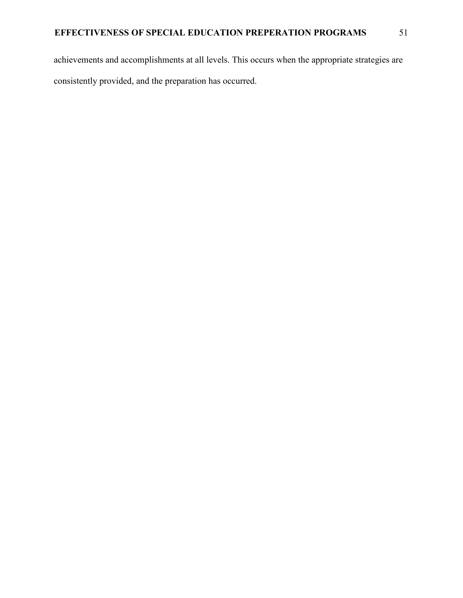achievements and accomplishments at all levels. This occurs when the appropriate strategies are consistently provided, and the preparation has occurred.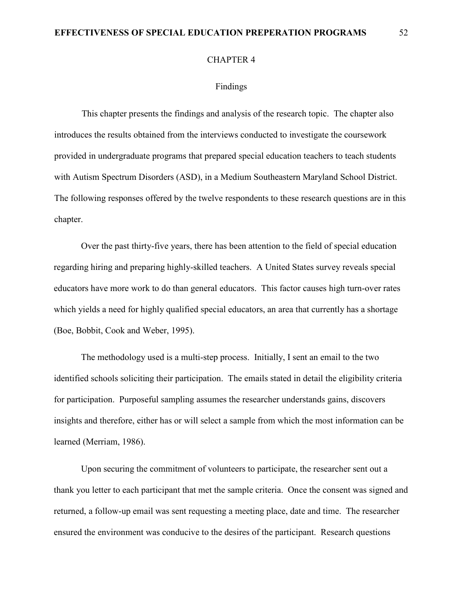# **EFFECTIVENESS OF SPECIAL EDUCATION PREPERATION PROGRAMS** 52

#### CHAPTER 4

# Findings

This chapter presents the findings and analysis of the research topic. The chapter also introduces the results obtained from the interviews conducted to investigate the coursework provided in undergraduate programs that prepared special education teachers to teach students with Autism Spectrum Disorders (ASD), in a Medium Southeastern Maryland School District. The following responses offered by the twelve respondents to these research questions are in this chapter.

Over the past thirty-five years, there has been attention to the field of special education regarding hiring and preparing highly-skilled teachers. A United States survey reveals special educators have more work to do than general educators. This factor causes high turn-over rates which yields a need for highly qualified special educators, an area that currently has a shortage (Boe, Bobbit, Cook and Weber, 1995).

The methodology used is a multi-step process. Initially, I sent an email to the two identified schools soliciting their participation. The emails stated in detail the eligibility criteria for participation. Purposeful sampling assumes the researcher understands gains, discovers insights and therefore, either has or will select a sample from which the most information can be learned (Merriam, 1986).

Upon securing the commitment of volunteers to participate, the researcher sent out a thank you letter to each participant that met the sample criteria. Once the consent was signed and returned, a follow-up email was sent requesting a meeting place, date and time. The researcher ensured the environment was conducive to the desires of the participant. Research questions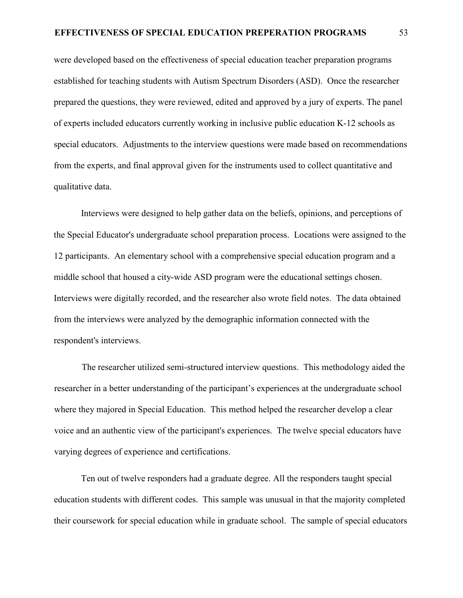were developed based on the effectiveness of special education teacher preparation programs established for teaching students with Autism Spectrum Disorders (ASD). Once the researcher prepared the questions, they were reviewed, edited and approved by a jury of experts. The panel of experts included educators currently working in inclusive public education K-12 schools as special educators. Adjustments to the interview questions were made based on recommendations from the experts, and final approval given for the instruments used to collect quantitative and qualitative data.

Interviews were designed to help gather data on the beliefs, opinions, and perceptions of the Special Educator's undergraduate school preparation process. Locations were assigned to the 12 participants. An elementary school with a comprehensive special education program and a middle school that housed a city-wide ASD program were the educational settings chosen. Interviews were digitally recorded, and the researcher also wrote field notes. The data obtained from the interviews were analyzed by the demographic information connected with the respondent's interviews.

 The researcher utilized semi-structured interview questions. This methodology aided the researcher in a better understanding of the participant's experiences at the undergraduate school where they majored in Special Education. This method helped the researcher develop a clear voice and an authentic view of the participant's experiences. The twelve special educators have varying degrees of experience and certifications.

Ten out of twelve responders had a graduate degree. All the responders taught special education students with different codes. This sample was unusual in that the majority completed their coursework for special education while in graduate school. The sample of special educators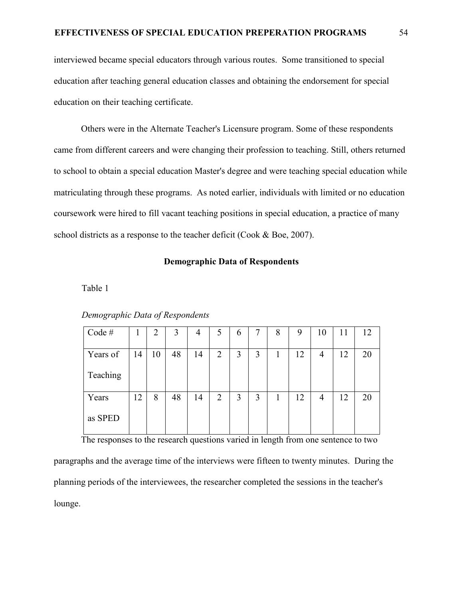interviewed became special educators through various routes. Some transitioned to special education after teaching general education classes and obtaining the endorsement for special education on their teaching certificate.

Others were in the Alternate Teacher's Licensure program. Some of these respondents came from different careers and were changing their profession to teaching. Still, others returned to school to obtain a special education Master's degree and were teaching special education while matriculating through these programs. As noted earlier, individuals with limited or no education coursework were hired to fill vacant teaching positions in special education, a practice of many school districts as a response to the teacher deficit (Cook & Boe, 2007).

# **Demographic Data of Respondents**

Table 1

| Demographic Data of Respondents |  |
|---------------------------------|--|
|                                 |  |

| Code#    | T  | $\overline{2}$ | 3  | 4  | 5              | 6 | 7 | 8  | 9  | 10             | 11 | 12 |
|----------|----|----------------|----|----|----------------|---|---|----|----|----------------|----|----|
| Years of | 14 | 10             | 48 | 14 | $\overline{2}$ | 3 | 3 | -1 | 12 | $\overline{4}$ | 12 | 20 |
| Teaching |    |                |    |    |                |   |   |    |    |                |    |    |
| Years    | 12 | 8              | 48 | 14 | 2              | 3 | 3 |    | 12 | 4              | 12 | 20 |
| as SPED  |    |                |    |    |                |   |   |    |    |                |    |    |

The responses to the research questions varied in length from one sentence to two

paragraphs and the average time of the interviews were fifteen to twenty minutes. During the planning periods of the interviewees, the researcher completed the sessions in the teacher's lounge.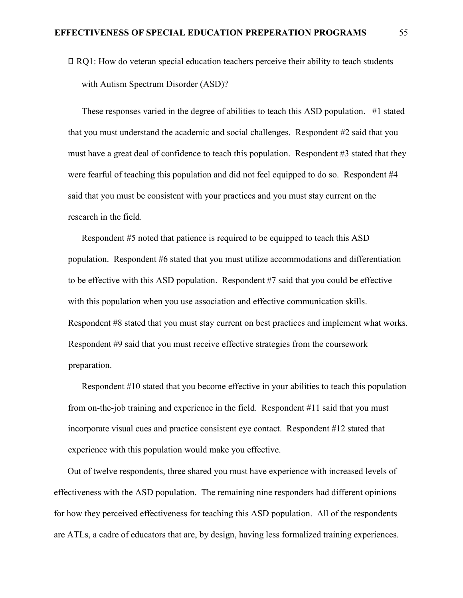RQ1: How do veteran special education teachers perceive their ability to teach students with Autism Spectrum Disorder (ASD)?

These responses varied in the degree of abilities to teach this ASD population. #1 stated that you must understand the academic and social challenges. Respondent #2 said that you must have a great deal of confidence to teach this population. Respondent #3 stated that they were fearful of teaching this population and did not feel equipped to do so. Respondent #4 said that you must be consistent with your practices and you must stay current on the research in the field.

Respondent #5 noted that patience is required to be equipped to teach this ASD population. Respondent #6 stated that you must utilize accommodations and differentiation to be effective with this ASD population. Respondent #7 said that you could be effective with this population when you use association and effective communication skills. Respondent #8 stated that you must stay current on best practices and implement what works. Respondent #9 said that you must receive effective strategies from the coursework preparation.

Respondent #10 stated that you become effective in your abilities to teach this population from on-the-job training and experience in the field. Respondent #11 said that you must incorporate visual cues and practice consistent eye contact. Respondent #12 stated that experience with this population would make you effective.

Out of twelve respondents, three shared you must have experience with increased levels of effectiveness with the ASD population. The remaining nine responders had different opinions for how they perceived effectiveness for teaching this ASD population. All of the respondents are ATLs, a cadre of educators that are, by design, having less formalized training experiences.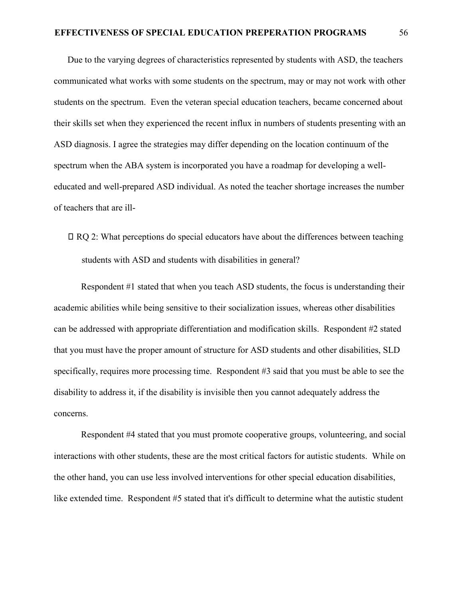Due to the varying degrees of characteristics represented by students with ASD, the teachers communicated what works with some students on the spectrum, may or may not work with other students on the spectrum. Even the veteran special education teachers, became concerned about their skills set when they experienced the recent influx in numbers of students presenting with an ASD diagnosis. I agree the strategies may differ depending on the location continuum of the spectrum when the ABA system is incorporated you have a roadmap for developing a welleducated and well-prepared ASD individual. As noted the teacher shortage increases the number of teachers that are ill-

RQ 2: What perceptions do special educators have about the differences between teaching students with ASD and students with disabilities in general?

Respondent #1 stated that when you teach ASD students, the focus is understanding their academic abilities while being sensitive to their socialization issues, whereas other disabilities can be addressed with appropriate differentiation and modification skills. Respondent #2 stated that you must have the proper amount of structure for ASD students and other disabilities, SLD specifically, requires more processing time. Respondent #3 said that you must be able to see the disability to address it, if the disability is invisible then you cannot adequately address the concerns.

Respondent #4 stated that you must promote cooperative groups, volunteering, and social interactions with other students, these are the most critical factors for autistic students. While on the other hand, you can use less involved interventions for other special education disabilities, like extended time. Respondent #5 stated that it's difficult to determine what the autistic student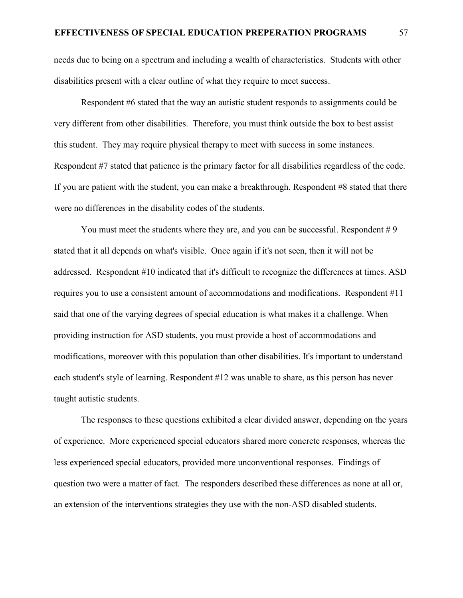needs due to being on a spectrum and including a wealth of characteristics. Students with other disabilities present with a clear outline of what they require to meet success.

Respondent #6 stated that the way an autistic student responds to assignments could be very different from other disabilities. Therefore, you must think outside the box to best assist this student. They may require physical therapy to meet with success in some instances. Respondent #7 stated that patience is the primary factor for all disabilities regardless of the code. If you are patient with the student, you can make a breakthrough. Respondent #8 stated that there were no differences in the disability codes of the students.

You must meet the students where they are, and you can be successful. Respondent  $#9$ stated that it all depends on what's visible. Once again if it's not seen, then it will not be addressed. Respondent #10 indicated that it's difficult to recognize the differences at times. ASD requires you to use a consistent amount of accommodations and modifications. Respondent #11 said that one of the varying degrees of special education is what makes it a challenge. When providing instruction for ASD students, you must provide a host of accommodations and modifications, moreover with this population than other disabilities. It's important to understand each student's style of learning. Respondent #12 was unable to share, as this person has never taught autistic students.

The responses to these questions exhibited a clear divided answer, depending on the years of experience. More experienced special educators shared more concrete responses, whereas the less experienced special educators, provided more unconventional responses. Findings of question two were a matter of fact. The responders described these differences as none at all or, an extension of the interventions strategies they use with the non-ASD disabled students.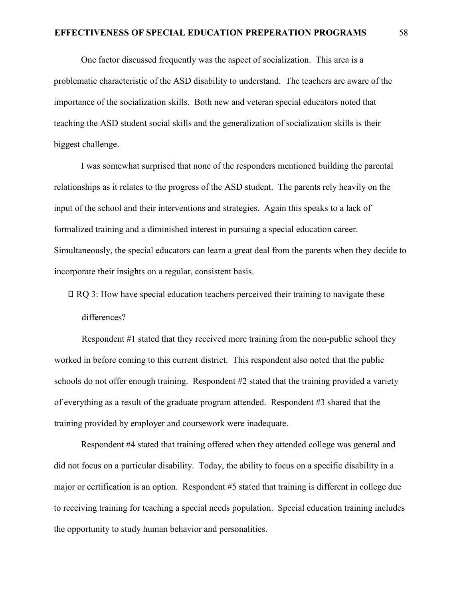One factor discussed frequently was the aspect of socialization. This area is a problematic characteristic of the ASD disability to understand. The teachers are aware of the importance of the socialization skills. Both new and veteran special educators noted that teaching the ASD student social skills and the generalization of socialization skills is their biggest challenge.

I was somewhat surprised that none of the responders mentioned building the parental relationships as it relates to the progress of the ASD student. The parents rely heavily on the input of the school and their interventions and strategies. Again this speaks to a lack of formalized training and a diminished interest in pursuing a special education career. Simultaneously, the special educators can learn a great deal from the parents when they decide to incorporate their insights on a regular, consistent basis.

 RQ 3: How have special education teachers perceived their training to navigate these differences?

 Respondent #1 stated that they received more training from the non-public school they worked in before coming to this current district. This respondent also noted that the public schools do not offer enough training. Respondent #2 stated that the training provided a variety of everything as a result of the graduate program attended. Respondent #3 shared that the training provided by employer and coursework were inadequate.

Respondent #4 stated that training offered when they attended college was general and did not focus on a particular disability. Today, the ability to focus on a specific disability in a major or certification is an option. Respondent #5 stated that training is different in college due to receiving training for teaching a special needs population. Special education training includes the opportunity to study human behavior and personalities.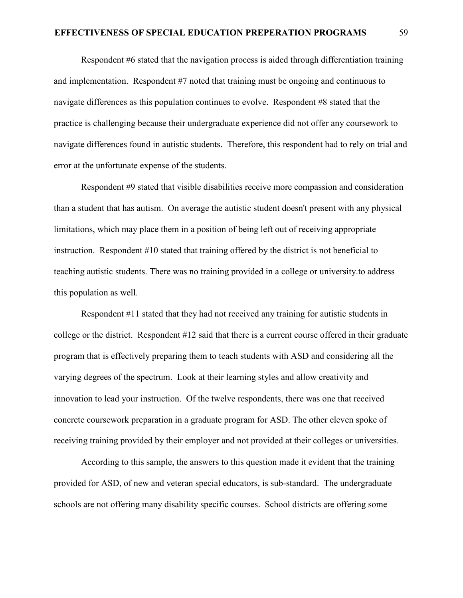Respondent #6 stated that the navigation process is aided through differentiation training and implementation. Respondent #7 noted that training must be ongoing and continuous to navigate differences as this population continues to evolve. Respondent #8 stated that the practice is challenging because their undergraduate experience did not offer any coursework to navigate differences found in autistic students. Therefore, this respondent had to rely on trial and error at the unfortunate expense of the students.

Respondent #9 stated that visible disabilities receive more compassion and consideration than a student that has autism. On average the autistic student doesn't present with any physical limitations, which may place them in a position of being left out of receiving appropriate instruction. Respondent #10 stated that training offered by the district is not beneficial to teaching autistic students. There was no training provided in a college or university.to address this population as well.

Respondent #11 stated that they had not received any training for autistic students in college or the district. Respondent #12 said that there is a current course offered in their graduate program that is effectively preparing them to teach students with ASD and considering all the varying degrees of the spectrum. Look at their learning styles and allow creativity and innovation to lead your instruction. Of the twelve respondents, there was one that received concrete coursework preparation in a graduate program for ASD. The other eleven spoke of receiving training provided by their employer and not provided at their colleges or universities.

According to this sample, the answers to this question made it evident that the training provided for ASD, of new and veteran special educators, is sub-standard. The undergraduate schools are not offering many disability specific courses. School districts are offering some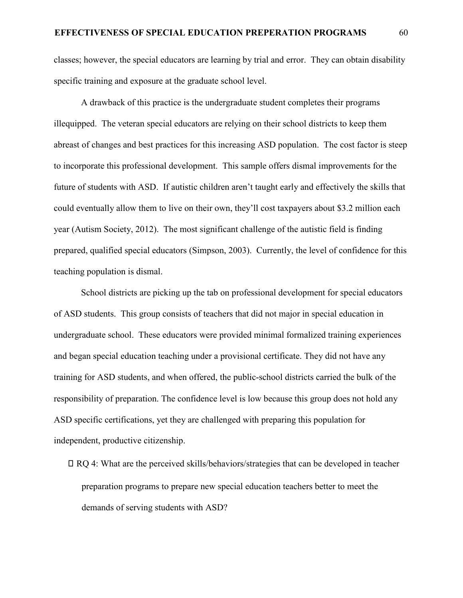classes; however, the special educators are learning by trial and error. They can obtain disability specific training and exposure at the graduate school level.

A drawback of this practice is the undergraduate student completes their programs illequipped. The veteran special educators are relying on their school districts to keep them abreast of changes and best practices for this increasing ASD population. The cost factor is steep to incorporate this professional development. This sample offers dismal improvements for the future of students with ASD. If autistic children aren't taught early and effectively the skills that could eventually allow them to live on their own, they'll cost taxpayers about \$3.2 million each year (Autism Society, 2012). The most significant challenge of the autistic field is finding prepared, qualified special educators (Simpson, 2003). Currently, the level of confidence for this teaching population is dismal.

School districts are picking up the tab on professional development for special educators of ASD students. This group consists of teachers that did not major in special education in undergraduate school. These educators were provided minimal formalized training experiences and began special education teaching under a provisional certificate. They did not have any training for ASD students, and when offered, the public-school districts carried the bulk of the responsibility of preparation. The confidence level is low because this group does not hold any ASD specific certifications, yet they are challenged with preparing this population for independent, productive citizenship.

 RQ 4: What are the perceived skills/behaviors/strategies that can be developed in teacher preparation programs to prepare new special education teachers better to meet the demands of serving students with ASD?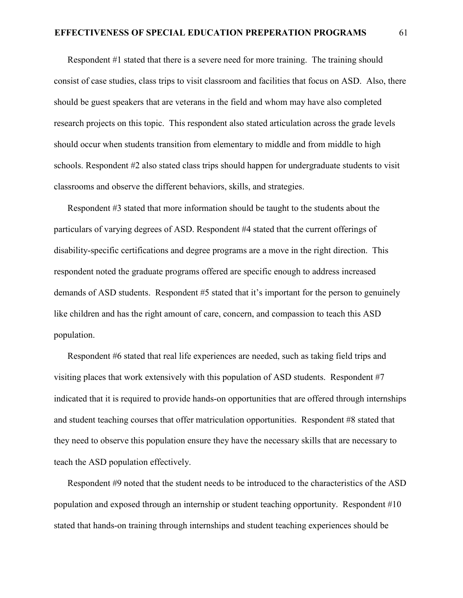Respondent #1 stated that there is a severe need for more training. The training should consist of case studies, class trips to visit classroom and facilities that focus on ASD. Also, there should be guest speakers that are veterans in the field and whom may have also completed research projects on this topic. This respondent also stated articulation across the grade levels should occur when students transition from elementary to middle and from middle to high schools. Respondent #2 also stated class trips should happen for undergraduate students to visit classrooms and observe the different behaviors, skills, and strategies.

Respondent #3 stated that more information should be taught to the students about the particulars of varying degrees of ASD. Respondent #4 stated that the current offerings of disability-specific certifications and degree programs are a move in the right direction. This respondent noted the graduate programs offered are specific enough to address increased demands of ASD students. Respondent #5 stated that it's important for the person to genuinely like children and has the right amount of care, concern, and compassion to teach this ASD population.

Respondent #6 stated that real life experiences are needed, such as taking field trips and visiting places that work extensively with this population of ASD students. Respondent #7 indicated that it is required to provide hands-on opportunities that are offered through internships and student teaching courses that offer matriculation opportunities. Respondent #8 stated that they need to observe this population ensure they have the necessary skills that are necessary to teach the ASD population effectively.

Respondent #9 noted that the student needs to be introduced to the characteristics of the ASD population and exposed through an internship or student teaching opportunity. Respondent #10 stated that hands-on training through internships and student teaching experiences should be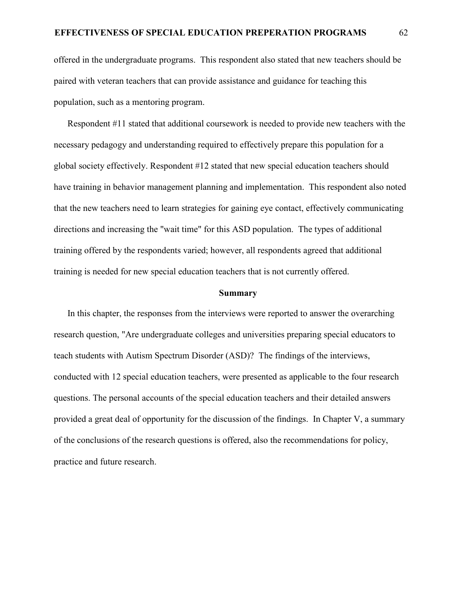offered in the undergraduate programs. This respondent also stated that new teachers should be paired with veteran teachers that can provide assistance and guidance for teaching this population, such as a mentoring program.

Respondent #11 stated that additional coursework is needed to provide new teachers with the necessary pedagogy and understanding required to effectively prepare this population for a global society effectively. Respondent #12 stated that new special education teachers should have training in behavior management planning and implementation. This respondent also noted that the new teachers need to learn strategies for gaining eye contact, effectively communicating directions and increasing the "wait time" for this ASD population. The types of additional training offered by the respondents varied; however, all respondents agreed that additional training is needed for new special education teachers that is not currently offered.

# **Summary**

In this chapter, the responses from the interviews were reported to answer the overarching research question, "Are undergraduate colleges and universities preparing special educators to teach students with Autism Spectrum Disorder (ASD)? The findings of the interviews, conducted with 12 special education teachers, were presented as applicable to the four research questions. The personal accounts of the special education teachers and their detailed answers provided a great deal of opportunity for the discussion of the findings. In Chapter V, a summary of the conclusions of the research questions is offered, also the recommendations for policy, practice and future research.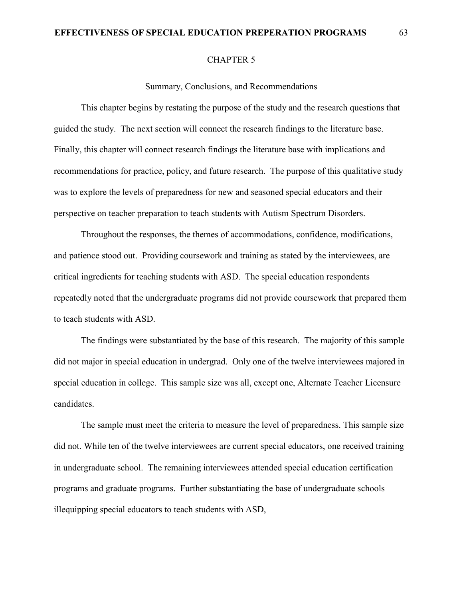# **EFFECTIVENESS OF SPECIAL EDUCATION PREPERATION PROGRAMS** 63

#### CHAPTER 5

#### Summary, Conclusions, and Recommendations

This chapter begins by restating the purpose of the study and the research questions that guided the study. The next section will connect the research findings to the literature base. Finally, this chapter will connect research findings the literature base with implications and recommendations for practice, policy, and future research. The purpose of this qualitative study was to explore the levels of preparedness for new and seasoned special educators and their perspective on teacher preparation to teach students with Autism Spectrum Disorders.

Throughout the responses, the themes of accommodations, confidence, modifications, and patience stood out. Providing coursework and training as stated by the interviewees, are critical ingredients for teaching students with ASD. The special education respondents repeatedly noted that the undergraduate programs did not provide coursework that prepared them to teach students with ASD.

The findings were substantiated by the base of this research. The majority of this sample did not major in special education in undergrad. Only one of the twelve interviewees majored in special education in college. This sample size was all, except one, Alternate Teacher Licensure candidates.

The sample must meet the criteria to measure the level of preparedness. This sample size did not. While ten of the twelve interviewees are current special educators, one received training in undergraduate school. The remaining interviewees attended special education certification programs and graduate programs. Further substantiating the base of undergraduate schools illequipping special educators to teach students with ASD,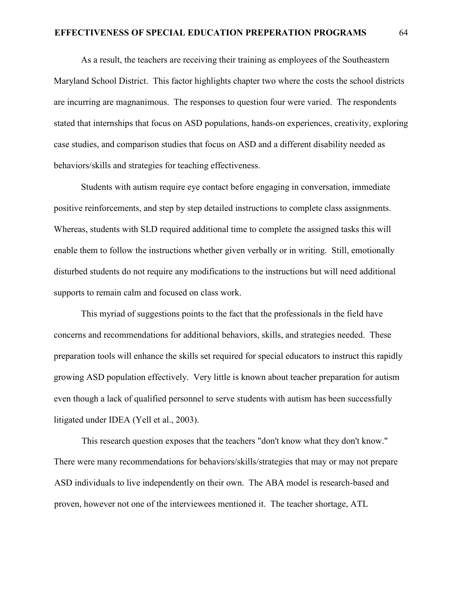# **EFFECTIVENESS OF SPECIAL EDUCATION PREPERATION PROGRAMS** 64

As a result, the teachers are receiving their training as employees of the Southeastern Maryland School District. This factor highlights chapter two where the costs the school districts are incurring are magnanimous. The responses to question four were varied. The respondents stated that internships that focus on ASD populations, hands-on experiences, creativity, exploring case studies, and comparison studies that focus on ASD and a different disability needed as behaviors/skills and strategies for teaching effectiveness.

Students with autism require eye contact before engaging in conversation, immediate positive reinforcements, and step by step detailed instructions to complete class assignments. Whereas, students with SLD required additional time to complete the assigned tasks this will enable them to follow the instructions whether given verbally or in writing. Still, emotionally disturbed students do not require any modifications to the instructions but will need additional supports to remain calm and focused on class work.

This myriad of suggestions points to the fact that the professionals in the field have concerns and recommendations for additional behaviors, skills, and strategies needed. These preparation tools will enhance the skills set required for special educators to instruct this rapidly growing ASD population effectively. Very little is known about teacher preparation for autism even though a lack of qualified personnel to serve students with autism has been successfully litigated under IDEA (Yell et al., 2003).

This research question exposes that the teachers "don't know what they don't know." There were many recommendations for behaviors/skills/strategies that may or may not prepare ASD individuals to live independently on their own. The ABA model is research-based and proven, however not one of the interviewees mentioned it. The teacher shortage, ATL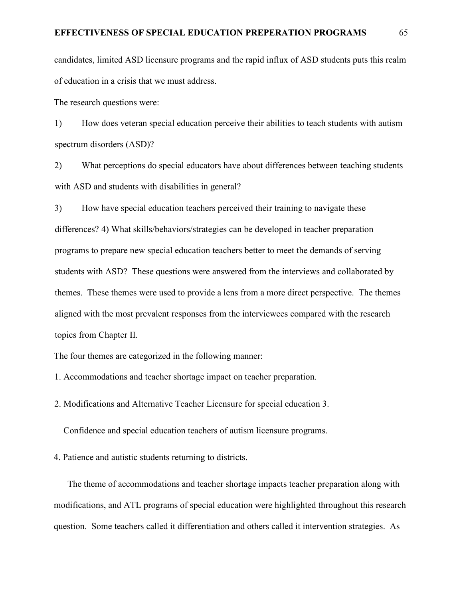candidates, limited ASD licensure programs and the rapid influx of ASD students puts this realm of education in a crisis that we must address.

The research questions were:

1) How does veteran special education perceive their abilities to teach students with autism spectrum disorders (ASD)?

2) What perceptions do special educators have about differences between teaching students with ASD and students with disabilities in general?

3) How have special education teachers perceived their training to navigate these differences? 4) What skills/behaviors/strategies can be developed in teacher preparation programs to prepare new special education teachers better to meet the demands of serving students with ASD? These questions were answered from the interviews and collaborated by themes. These themes were used to provide a lens from a more direct perspective. The themes aligned with the most prevalent responses from the interviewees compared with the research topics from Chapter II.

The four themes are categorized in the following manner:

1. Accommodations and teacher shortage impact on teacher preparation.

2. Modifications and Alternative Teacher Licensure for special education 3.

Confidence and special education teachers of autism licensure programs.

4. Patience and autistic students returning to districts.

The theme of accommodations and teacher shortage impacts teacher preparation along with modifications, and ATL programs of special education were highlighted throughout this research question. Some teachers called it differentiation and others called it intervention strategies. As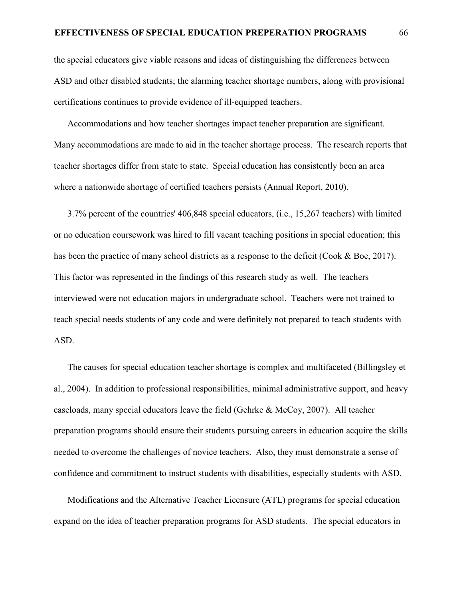the special educators give viable reasons and ideas of distinguishing the differences between ASD and other disabled students; the alarming teacher shortage numbers, along with provisional certifications continues to provide evidence of ill-equipped teachers.

Accommodations and how teacher shortages impact teacher preparation are significant. Many accommodations are made to aid in the teacher shortage process. The research reports that teacher shortages differ from state to state. Special education has consistently been an area where a nationwide shortage of certified teachers persists (Annual Report, 2010).

3.7% percent of the countries' 406,848 special educators, (i.e., 15,267 teachers) with limited or no education coursework was hired to fill vacant teaching positions in special education; this has been the practice of many school districts as a response to the deficit (Cook & Boe, 2017). This factor was represented in the findings of this research study as well. The teachers interviewed were not education majors in undergraduate school. Teachers were not trained to teach special needs students of any code and were definitely not prepared to teach students with ASD.

The causes for special education teacher shortage is complex and multifaceted (Billingsley et al., 2004). In addition to professional responsibilities, minimal administrative support, and heavy caseloads, many special educators leave the field (Gehrke & McCoy, 2007). All teacher preparation programs should ensure their students pursuing careers in education acquire the skills needed to overcome the challenges of novice teachers. Also, they must demonstrate a sense of confidence and commitment to instruct students with disabilities, especially students with ASD.

Modifications and the Alternative Teacher Licensure (ATL) programs for special education expand on the idea of teacher preparation programs for ASD students. The special educators in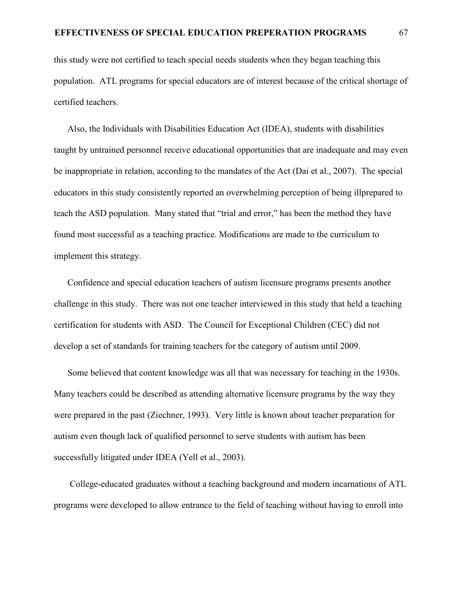this study were not certified to teach special needs students when they began teaching this population. ATL programs for special educators are of interest because of the critical shortage of certified teachers.

Also, the Individuals with Disabilities Education Act (IDEA), students with disabilities taught by untrained personnel receive educational opportunities that are inadequate and may even be inappropriate in relation, according to the mandates of the Act (Dai et al., 2007). The special educators in this study consistently reported an overwhelming perception of being illprepared to teach the ASD population. Many stated that "trial and error," has been the method they have found most successful as a teaching practice. Modifications are made to the curriculum to implement this strategy.

Confidence and special education teachers of autism licensure programs presents another challenge in this study. There was not one teacher interviewed in this study that held a teaching certification for students with ASD. The Council for Exceptional Children (CEC) did not develop a set of standards for training teachers for the category of autism until 2009.

Some believed that content knowledge was all that was necessary for teaching in the 1930s. Many teachers could be described as attending alternative licensure programs by the way they were prepared in the past (Ziechner, 1993). Very little is known about teacher preparation for autism even though lack of qualified personnel to serve students with autism has been successfully litigated under IDEA (Yell et al., 2003).

 College-educated graduates without a teaching background and modern incarnations of ATL programs were developed to allow entrance to the field of teaching without having to enroll into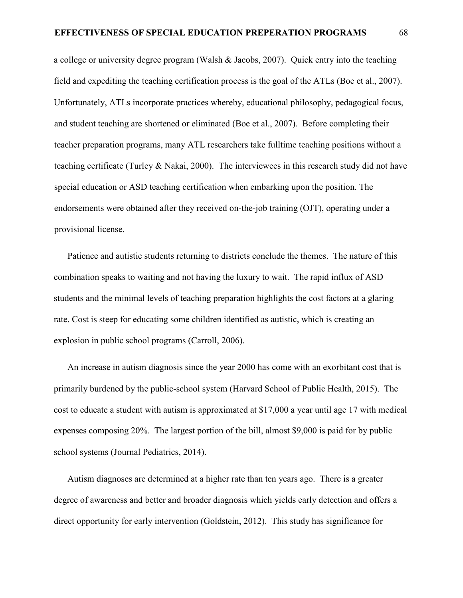a college or university degree program (Walsh & Jacobs, 2007). Quick entry into the teaching field and expediting the teaching certification process is the goal of the ATLs (Boe et al., 2007). Unfortunately, ATLs incorporate practices whereby, educational philosophy, pedagogical focus, and student teaching are shortened or eliminated (Boe et al., 2007). Before completing their teacher preparation programs, many ATL researchers take fulltime teaching positions without a teaching certificate (Turley & Nakai, 2000). The interviewees in this research study did not have special education or ASD teaching certification when embarking upon the position. The endorsements were obtained after they received on-the-job training (OJT), operating under a provisional license.

Patience and autistic students returning to districts conclude the themes. The nature of this combination speaks to waiting and not having the luxury to wait. The rapid influx of ASD students and the minimal levels of teaching preparation highlights the cost factors at a glaring rate. Cost is steep for educating some children identified as autistic, which is creating an explosion in public school programs (Carroll, 2006).

An increase in autism diagnosis since the year 2000 has come with an exorbitant cost that is primarily burdened by the public-school system (Harvard School of Public Health, 2015). The cost to educate a student with autism is approximated at \$17,000 a year until age 17 with medical expenses composing 20%. The largest portion of the bill, almost \$9,000 is paid for by public school systems (Journal Pediatrics, 2014).

Autism diagnoses are determined at a higher rate than ten years ago. There is a greater degree of awareness and better and broader diagnosis which yields early detection and offers a direct opportunity for early intervention (Goldstein, 2012). This study has significance for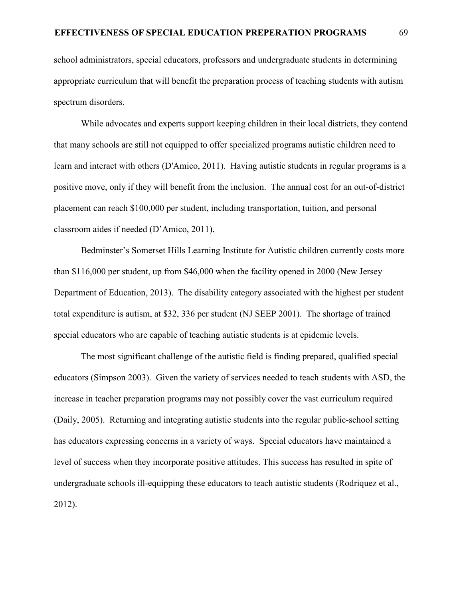school administrators, special educators, professors and undergraduate students in determining appropriate curriculum that will benefit the preparation process of teaching students with autism spectrum disorders.

While advocates and experts support keeping children in their local districts, they contend that many schools are still not equipped to offer specialized programs autistic children need to learn and interact with others (D'Amico, 2011). Having autistic students in regular programs is a positive move, only if they will benefit from the inclusion. The annual cost for an out-of-district placement can reach \$100,000 per student, including transportation, tuition, and personal classroom aides if needed (D'Amico, 2011).

Bedminster's Somerset Hills Learning Institute for Autistic children currently costs more than \$116,000 per student, up from \$46,000 when the facility opened in 2000 (New Jersey Department of Education, 2013). The disability category associated with the highest per student total expenditure is autism, at \$32, 336 per student (NJ SEEP 2001). The shortage of trained special educators who are capable of teaching autistic students is at epidemic levels.

The most significant challenge of the autistic field is finding prepared, qualified special educators (Simpson 2003). Given the variety of services needed to teach students with ASD, the increase in teacher preparation programs may not possibly cover the vast curriculum required (Daily, 2005). Returning and integrating autistic students into the regular public-school setting has educators expressing concerns in a variety of ways. Special educators have maintained a level of success when they incorporate positive attitudes. This success has resulted in spite of undergraduate schools ill-equipping these educators to teach autistic students (Rodriquez et al., 2012).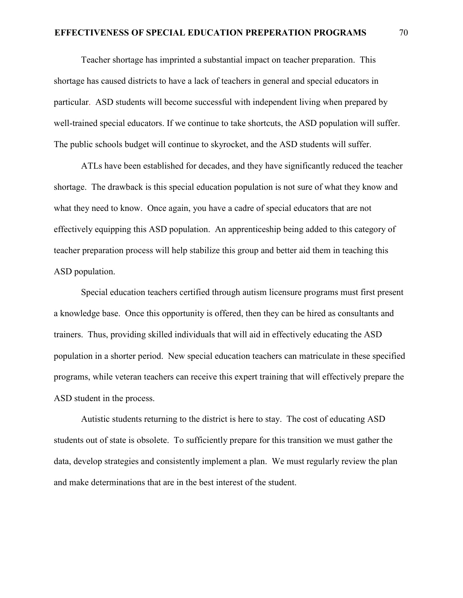# **EFFECTIVENESS OF SPECIAL EDUCATION PREPERATION PROGRAMS** 70

Teacher shortage has imprinted a substantial impact on teacher preparation. This shortage has caused districts to have a lack of teachers in general and special educators in particular. ASD students will become successful with independent living when prepared by well-trained special educators. If we continue to take shortcuts, the ASD population will suffer. The public schools budget will continue to skyrocket, and the ASD students will suffer.

ATLs have been established for decades, and they have significantly reduced the teacher shortage. The drawback is this special education population is not sure of what they know and what they need to know. Once again, you have a cadre of special educators that are not effectively equipping this ASD population. An apprenticeship being added to this category of teacher preparation process will help stabilize this group and better aid them in teaching this ASD population.

Special education teachers certified through autism licensure programs must first present a knowledge base. Once this opportunity is offered, then they can be hired as consultants and trainers. Thus, providing skilled individuals that will aid in effectively educating the ASD population in a shorter period. New special education teachers can matriculate in these specified programs, while veteran teachers can receive this expert training that will effectively prepare the ASD student in the process.

Autistic students returning to the district is here to stay. The cost of educating ASD students out of state is obsolete. To sufficiently prepare for this transition we must gather the data, develop strategies and consistently implement a plan. We must regularly review the plan and make determinations that are in the best interest of the student.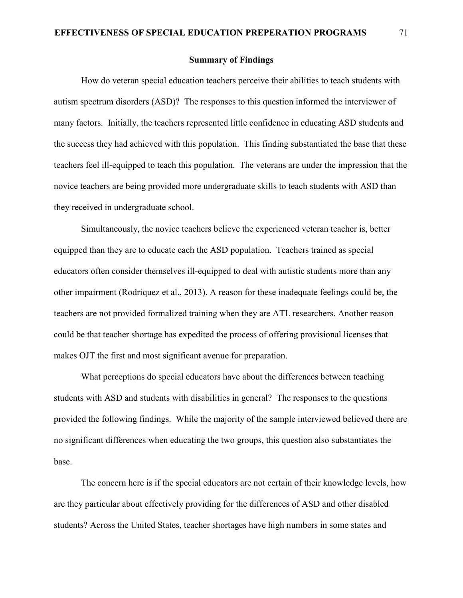# **Summary of Findings**

How do veteran special education teachers perceive their abilities to teach students with autism spectrum disorders (ASD)? The responses to this question informed the interviewer of many factors. Initially, the teachers represented little confidence in educating ASD students and the success they had achieved with this population. This finding substantiated the base that these teachers feel ill-equipped to teach this population. The veterans are under the impression that the novice teachers are being provided more undergraduate skills to teach students with ASD than they received in undergraduate school.

Simultaneously, the novice teachers believe the experienced veteran teacher is, better equipped than they are to educate each the ASD population. Teachers trained as special educators often consider themselves ill-equipped to deal with autistic students more than any other impairment (Rodriquez et al., 2013). A reason for these inadequate feelings could be, the teachers are not provided formalized training when they are ATL researchers. Another reason could be that teacher shortage has expedited the process of offering provisional licenses that makes OJT the first and most significant avenue for preparation.

What perceptions do special educators have about the differences between teaching students with ASD and students with disabilities in general? The responses to the questions provided the following findings. While the majority of the sample interviewed believed there are no significant differences when educating the two groups, this question also substantiates the base.

The concern here is if the special educators are not certain of their knowledge levels, how are they particular about effectively providing for the differences of ASD and other disabled students? Across the United States, teacher shortages have high numbers in some states and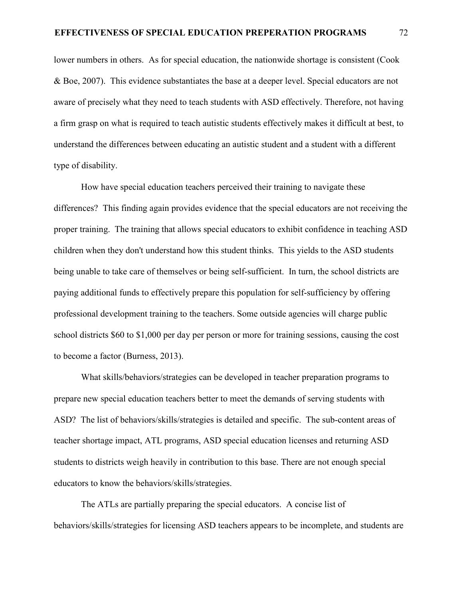lower numbers in others. As for special education, the nationwide shortage is consistent (Cook & Boe, 2007). This evidence substantiates the base at a deeper level. Special educators are not aware of precisely what they need to teach students with ASD effectively. Therefore, not having a firm grasp on what is required to teach autistic students effectively makes it difficult at best, to understand the differences between educating an autistic student and a student with a different type of disability.

How have special education teachers perceived their training to navigate these differences? This finding again provides evidence that the special educators are not receiving the proper training. The training that allows special educators to exhibit confidence in teaching ASD children when they don't understand how this student thinks. This yields to the ASD students being unable to take care of themselves or being self-sufficient. In turn, the school districts are paying additional funds to effectively prepare this population for self-sufficiency by offering professional development training to the teachers. Some outside agencies will charge public school districts \$60 to \$1,000 per day per person or more for training sessions, causing the cost to become a factor (Burness, 2013).

What skills/behaviors/strategies can be developed in teacher preparation programs to prepare new special education teachers better to meet the demands of serving students with ASD? The list of behaviors/skills/strategies is detailed and specific. The sub-content areas of teacher shortage impact, ATL programs, ASD special education licenses and returning ASD students to districts weigh heavily in contribution to this base. There are not enough special educators to know the behaviors/skills/strategies.

The ATLs are partially preparing the special educators. A concise list of behaviors/skills/strategies for licensing ASD teachers appears to be incomplete, and students are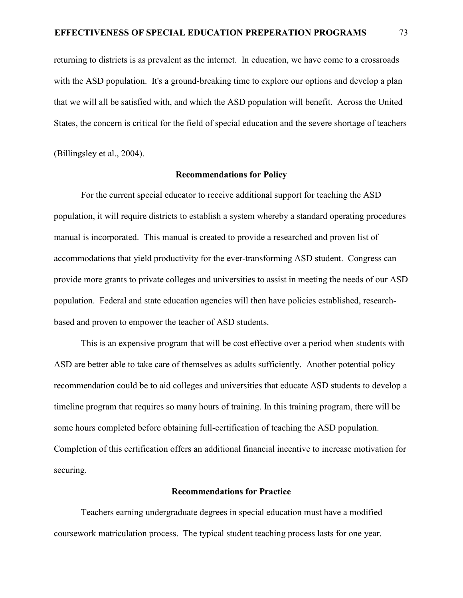returning to districts is as prevalent as the internet. In education, we have come to a crossroads with the ASD population. It's a ground-breaking time to explore our options and develop a plan that we will all be satisfied with, and which the ASD population will benefit. Across the United States, the concern is critical for the field of special education and the severe shortage of teachers

(Billingsley et al., 2004).

#### **Recommendations for Policy**

For the current special educator to receive additional support for teaching the ASD population, it will require districts to establish a system whereby a standard operating procedures manual is incorporated. This manual is created to provide a researched and proven list of accommodations that yield productivity for the ever-transforming ASD student. Congress can provide more grants to private colleges and universities to assist in meeting the needs of our ASD population. Federal and state education agencies will then have policies established, researchbased and proven to empower the teacher of ASD students.

This is an expensive program that will be cost effective over a period when students with ASD are better able to take care of themselves as adults sufficiently. Another potential policy recommendation could be to aid colleges and universities that educate ASD students to develop a timeline program that requires so many hours of training. In this training program, there will be some hours completed before obtaining full-certification of teaching the ASD population. Completion of this certification offers an additional financial incentive to increase motivation for securing.

# **Recommendations for Practice**

Teachers earning undergraduate degrees in special education must have a modified coursework matriculation process. The typical student teaching process lasts for one year.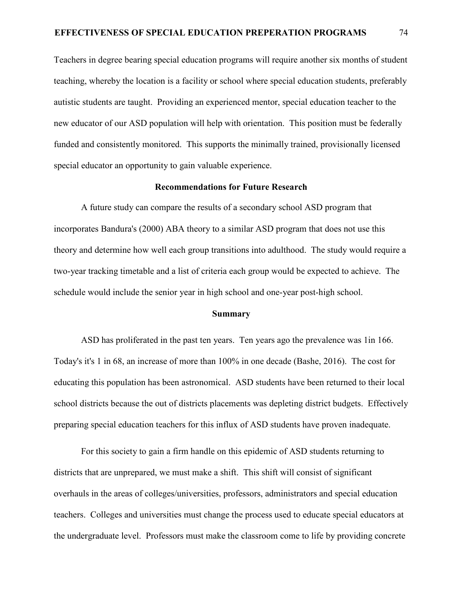Teachers in degree bearing special education programs will require another six months of student teaching, whereby the location is a facility or school where special education students, preferably autistic students are taught. Providing an experienced mentor, special education teacher to the new educator of our ASD population will help with orientation. This position must be federally funded and consistently monitored. This supports the minimally trained, provisionally licensed special educator an opportunity to gain valuable experience.

# **Recommendations for Future Research**

A future study can compare the results of a secondary school ASD program that incorporates Bandura's (2000) ABA theory to a similar ASD program that does not use this theory and determine how well each group transitions into adulthood. The study would require a two-year tracking timetable and a list of criteria each group would be expected to achieve. The schedule would include the senior year in high school and one-year post-high school.

# **Summary**

ASD has proliferated in the past ten years. Ten years ago the prevalence was 1in 166. Today's it's 1 in 68, an increase of more than 100% in one decade (Bashe, 2016). The cost for educating this population has been astronomical. ASD students have been returned to their local school districts because the out of districts placements was depleting district budgets. Effectively preparing special education teachers for this influx of ASD students have proven inadequate.

For this society to gain a firm handle on this epidemic of ASD students returning to districts that are unprepared, we must make a shift. This shift will consist of significant overhauls in the areas of colleges/universities, professors, administrators and special education teachers. Colleges and universities must change the process used to educate special educators at the undergraduate level. Professors must make the classroom come to life by providing concrete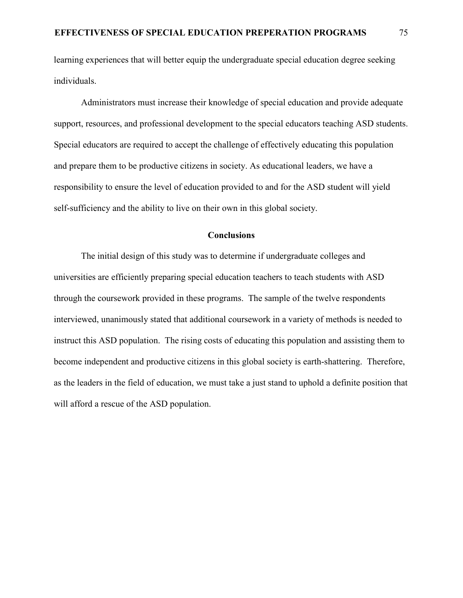learning experiences that will better equip the undergraduate special education degree seeking individuals.

Administrators must increase their knowledge of special education and provide adequate support, resources, and professional development to the special educators teaching ASD students. Special educators are required to accept the challenge of effectively educating this population and prepare them to be productive citizens in society. As educational leaders, we have a responsibility to ensure the level of education provided to and for the ASD student will yield self-sufficiency and the ability to live on their own in this global society.

## **Conclusions**

The initial design of this study was to determine if undergraduate colleges and universities are efficiently preparing special education teachers to teach students with ASD through the coursework provided in these programs. The sample of the twelve respondents interviewed, unanimously stated that additional coursework in a variety of methods is needed to instruct this ASD population. The rising costs of educating this population and assisting them to become independent and productive citizens in this global society is earth-shattering. Therefore, as the leaders in the field of education, we must take a just stand to uphold a definite position that will afford a rescue of the ASD population.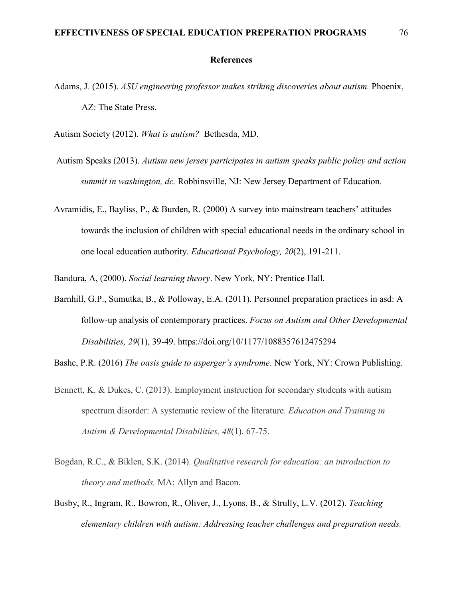## **References**

- Adams, J. (2015). *ASU engineering professor makes striking discoveries about autism.* Phoenix, AZ: The State Press.
- Autism Society (2012). *What is autism?* Bethesda, MD.
- Autism Speaks (2013). *Autism new jersey participates in autism speaks public policy and action summit in washington, dc.* Robbinsville, NJ: New Jersey Department of Education.
- Avramidis, E., Bayliss, P., & Burden, R. (2000) A survey into mainstream teachers' attitudes towards the inclusion of children with special educational needs in the ordinary school in one local education authority. *Educational Psychology, 20*(2), 191-211.

Bandura, A, (2000). *Social learning theory*. New York*,* NY: Prentice Hall.

Barnhill, G.P., Sumutka, B., & Polloway, E.A. (2011). Personnel preparation practices in asd: A follow-up analysis of contemporary practices. *Focus on Autism and Other Developmental Disabilities, 29*(1), 39-49. https://doi.org/10/1177/1088357612475294

Bashe, P.R. (2016) *The oasis guide to asperger's syndrome*. New York, NY: Crown Publishing.

- Bennett, K. & Dukes, C. (2013). Employment instruction for secondary students with autism spectrum disorder: A systematic review of the literature*. Education and Training in Autism & Developmental Disabilities, 48*(1). 67-75.
- Bogdan, R.C., & Biklen, S.K. (2014). *Qualitative research for education: an introduction to theory and methods,* MA: Allyn and Bacon.
- Busby, R., Ingram, R., Bowron, R., Oliver, J., Lyons, B., & Strully, L.V. (2012). *Teaching elementary children with autism: Addressing teacher challenges and preparation needs.*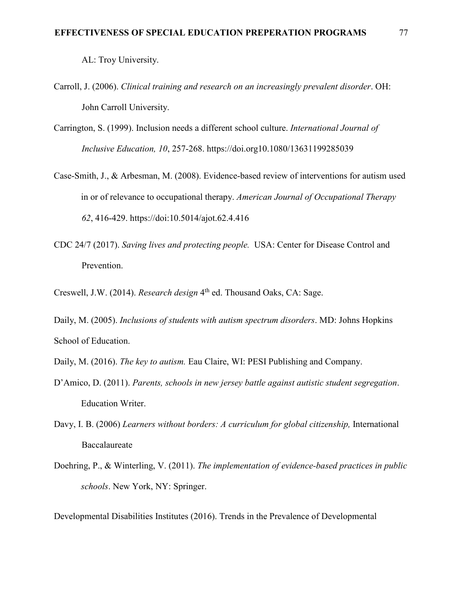AL: Troy University.

- Carroll, J. (2006). *Clinical training and research on an increasingly prevalent disorder*. OH: John Carroll University.
- Carrington, S. (1999). Inclusion needs a different school culture. *International Journal of Inclusive Education, 10*, 257-268. https://doi.org10.1080/13631199285039
- Case-Smith, J., & Arbesman, M. (2008). Evidence-based review of interventions for autism used in or of relevance to occupational therapy. *American Journal of Occupational Therapy 62*, 416-429. https://doi:10.5014/ajot.62.4.416
- CDC 24/7 (2017). *Saving lives and protecting people.* USA: Center for Disease Control and Prevention.
- Creswell, J.W. (2014). *Research design* 4th ed. Thousand Oaks, CA: Sage.
- Daily, M. (2005). *Inclusions of students with autism spectrum disorders*. MD: Johns Hopkins School of Education.
- Daily, M. (2016). *The key to autism.* Eau Claire, WI: PESI Publishing and Company.
- D'Amico, D. (2011). *Parents, schools in new jersey battle against autistic student segregation*. Education Writer.
- Davy, I. B. (2006) *Learners without borders: A curriculum for global citizenship*, International Baccalaureate
- Doehring, P., & Winterling, V. (2011). *The implementation of evidence-based practices in public schools*. New York, NY: Springer.

Developmental Disabilities Institutes (2016). Trends in the Prevalence of Developmental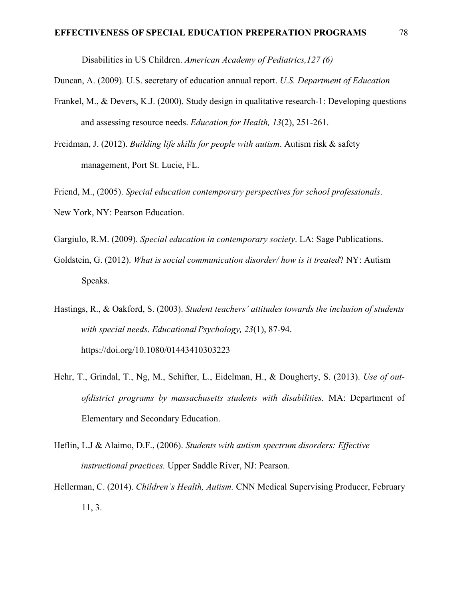Disabilities in US Children. *American Academy of Pediatrics,127 (6)* 

Duncan, A. (2009). U.S. secretary of education annual report. *U.S. Department of Education*

- Frankel, M., & Devers, K.J. (2000). Study design in qualitative research-1: Developing questions and assessing resource needs. *Education for Health, 13*(2), 251-261.
- Freidman, J. (2012). *Building life skills for people with autism*. Autism risk & safety management, Port St. Lucie, FL.

Friend, M., (2005). *Special education contemporary perspectives for school professionals*. New York, NY: Pearson Education.

Gargiulo, R.M. (2009). *Special education in contemporary society*. LA: Sage Publications.

- Goldstein, G. (2012). *What is social communication disorder/ how is it treated*? NY: Autism Speaks.
- Hastings, R., & Oakford, S. (2003). *Student teachers' attitudes towards the inclusion of students with special needs*. *Educational Psychology, 23*(1), 87-94. https://doi.org/10.1080/01443410303223
- Hehr, T., Grindal, T., Ng, M., Schifter, L., Eidelman, H., & Dougherty, S. (2013). *Use of outofdistrict programs by massachusetts students with disabilities.* MA: Department of Elementary and Secondary Education.
- Heflin, L.J & Alaimo, D.F., (2006). *Students with autism spectrum disorders: Effective instructional practices.* Upper Saddle River, NJ: Pearson.
- Hellerman, C. (2014). *Children's Health, Autism.* CNN Medical Supervising Producer, February 11, 3.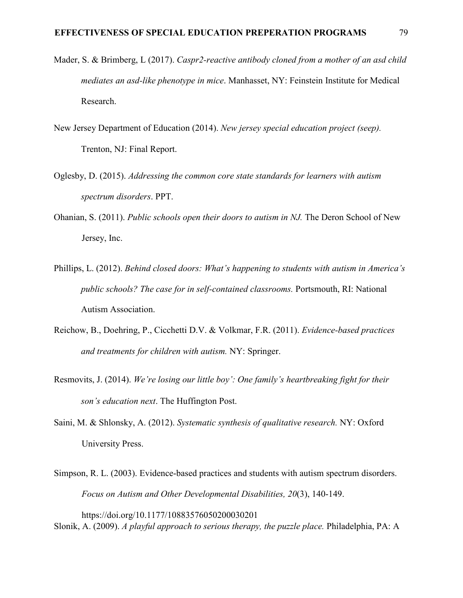- Mader, S. & Brimberg, L (2017). *Caspr2-reactive antibody cloned from a mother of an asd child mediates an asd-like phenotype in mice*. Manhasset, NY: Feinstein Institute for Medical Research.
- New Jersey Department of Education (2014). *New jersey special education project (seep).*  Trenton, NJ: Final Report.
- Oglesby, D. (2015). *Addressing the common core state standards for learners with autism spectrum disorders*. PPT.
- Ohanian, S. (2011). *Public schools open their doors to autism in NJ.* The Deron School of New Jersey, Inc.
- Phillips, L. (2012). *Behind closed doors: What's happening to students with autism in America's public schools? The case for in self-contained classrooms.* Portsmouth, RI: National Autism Association.
- Reichow, B., Doehring, P., Cicchetti D.V. & Volkmar, F.R. (2011). *Evidence-based practices and treatments for children with autism.* NY: Springer.
- Resmovits, J. (2014). *We're losing our little boy': One family's heartbreaking fight for their son's education next*. The Huffington Post.
- Saini, M. & Shlonsky, A. (2012). *Systematic synthesis of qualitative research.* NY: Oxford University Press.
- Simpson, R. L. (2003). Evidence-based practices and students with autism spectrum disorders. *Focus on Autism and Other Developmental Disabilities, 20*(3), 140-149.

https://doi.org/10.1177/10883576050200030201 Slonik, A. (2009). *A playful approach to serious therapy, the puzzle place.* Philadelphia, PA: A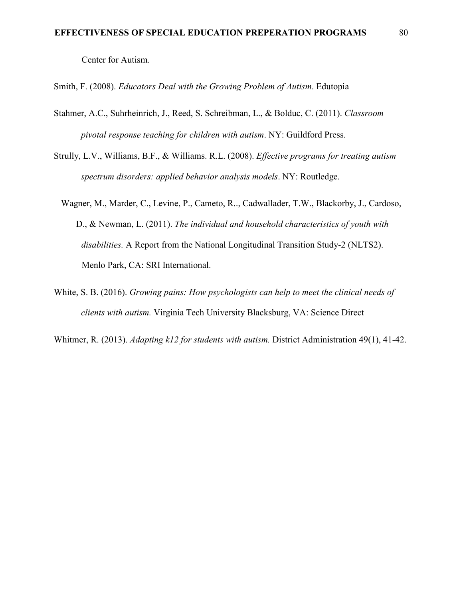Center for Autism.

Smith, F. (2008). *Educators Deal with the Growing Problem of Autism*. Edutopia

- Stahmer, A.C., Suhrheinrich, J., Reed, S. Schreibman, L., & Bolduc, C. (2011). *Classroom pivotal response teaching for children with autism*. NY: Guildford Press.
- Strully, L.V., Williams, B.F., & Williams. R.L. (2008). *Effective programs for treating autism spectrum disorders: applied behavior analysis models*. NY: Routledge.
	- Wagner, M., Marder, C., Levine, P., Cameto, R.., Cadwallader, T.W., Blackorby, J., Cardoso, D., & Newman, L. (2011). *The individual and household characteristics of youth with disabilities.* A Report from the National Longitudinal Transition Study-2 (NLTS2). Menlo Park, CA: SRI International.
- White, S. B. (2016). *Growing pains: How psychologists can help to meet the clinical needs of clients with autism.* Virginia Tech University Blacksburg, VA: Science Direct
- Whitmer, R. (2013). *Adapting k12 for students with autism.* District Administration 49(1), 41-42.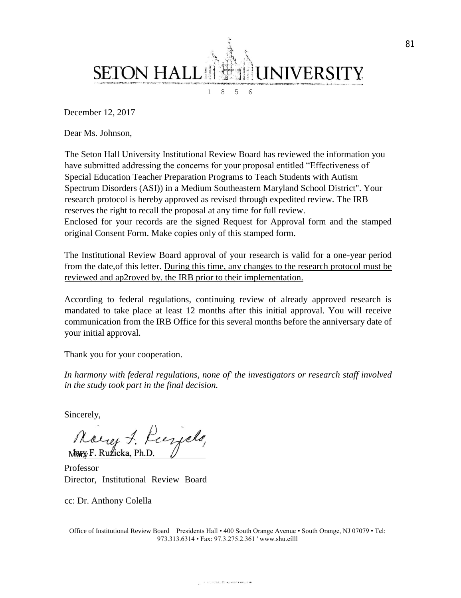

December 12, 2017

Dear Ms. Johnson,

The Seton Hall University Institutional Review Board has reviewed the information you have submitted addressing the concerns for your proposal entitled "Effectiveness of Special Education Teacher Preparation Programs to Teach Students with Autism Spectrum Disorders (ASI)) in a Medium Southeastern Maryland School District". Your research protocol is hereby approved as revised through expedited review. The IRB reserves the right to recall the proposal at any time for full review. Enclosed for your records are the signed Request for Approval form and the stamped original Consent Form. Make copies only of this stamped form.

The Institutional Review Board approval of your research is valid for a one-year period from the date,of this letter. During this time, any changes to the research protocol must be reviewed and ap2roved by. the IRB prior to their implementation.

According to federal regulations, continuing review of already approved research is mandated to take place at least 12 months after this initial approval. You will receive communication from the IRB Office for this several months before the anniversary date of your initial approval.

Thank you for your cooperation.

*In harmony with federal regulations, none of' the investigators or research staff involved in the study took part in the final decision.*

Sincerely,

Noirez 7. Recyclo,

Professor Director, Institutional Review Board

cc: Dr. Anthony Colella

Office of Institutional Review Board Presidents Hall • 400 South Orange Avenue • South Orange, NJ 07079 • Tel: 973.313.6314 • Fax: 97.3.275.2.361 ' www.shu.eílll